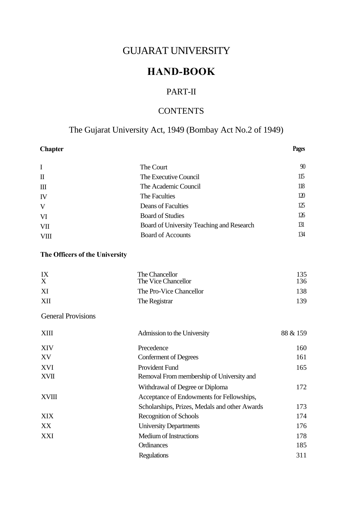# GUJARAT UNIVERSITY

# **HAND-BOOK**

# PART-II

# **CONTENTS**

# The Gujarat University Act, 1949 (Bombay Act No.2 of 1949)

| <b>Chapter</b>                 |                                               | Pages    |
|--------------------------------|-----------------------------------------------|----------|
| I                              | The Court                                     | 90       |
| $\mathbf I$                    | The Executive Council                         | 115      |
| $\mathbf{m}$                   | The Academic Council                          | 118      |
| IV                             | The Faculties                                 | 120      |
| V                              | Deans of Faculties                            | 125      |
| VI                             | <b>Board of Studies</b>                       | 126      |
| <b>VII</b>                     | Board of University Teaching and Research     | 131      |
| <b>VIII</b>                    | <b>Board of Accounts</b>                      | 134      |
| The Officers of the University |                                               |          |
| IX                             | The Chancellor                                | 135      |
| X                              | The Vice Chancellor                           | 136      |
| XI                             | The Pro-Vice Chancellor                       | 138      |
| XII                            | The Registrar                                 | 139      |
| <b>General Provisions</b>      |                                               |          |
| <b>XIII</b>                    | Admission to the University                   | 88 & 159 |
| <b>XIV</b>                     | Precedence                                    | 160      |
| XV                             | <b>Conferment of Degrees</b>                  | 161      |
| XVI                            | Provident Fund                                | 165      |
| <b>XVII</b>                    | Removal From membership of University and     |          |
|                                | Withdrawal of Degree or Diploma               | 172      |
| <b>XVIII</b>                   | Acceptance of Endowments for Fellowships,     |          |
|                                | Scholarships, Prizes, Medals and other Awards | 173      |
| XIX                            | Recognition of Schools                        | 174      |
| XX                             | <b>University Departments</b>                 | 176      |
| XXI                            | Medium of Instructions                        | 178      |
|                                | Ordinances                                    | 185      |
|                                | <b>Regulations</b>                            | 311      |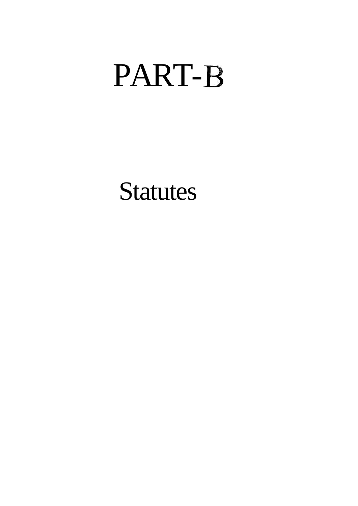# PART-

**Statutes**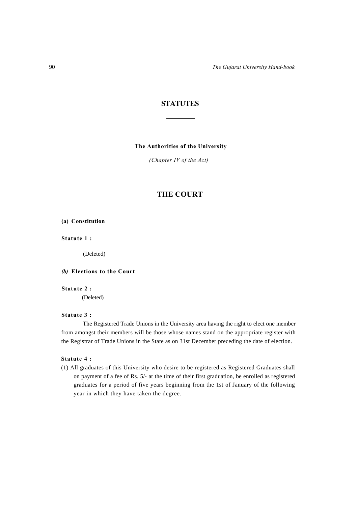90 *The Gujarat University Hand-book*

# **STATUTES**

#### **The Authorities of the University**

*(Chapter IV of the Act)*

# **THE COURT**

#### **(a) Constitution**

**Statute 1 :** 

(Deleted)

#### *(b)* **Elections to the Court**

#### **Statute 2 :**

(Deleted)

# **Statute 3 :**

The Registered Trade Unions in the University area having the right to elect one member from amongst their members will be those whose names stand on the appropriate register with the Registrar of Trade Unions in the State as on 31st December preceding the date of election.

# **Statute 4 :**

(1) All graduates of this University who desire to be registered as Registered Graduates shall on payment of a fee of Rs. 5/- at the time of their first graduation, be enrolled as registered graduates for a period of five years beginning from the 1st of January of the following year in which they have taken the degree.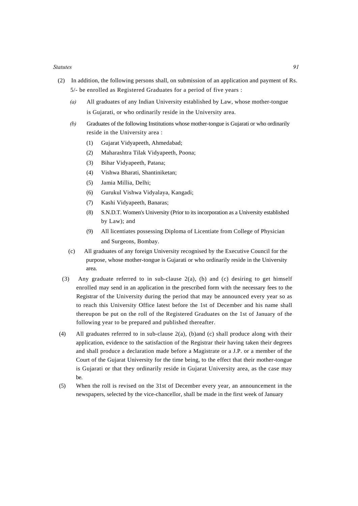- (2) In addition, the following persons shall, on submission of an application and payment of Rs. 5/- be enrolled as Registered Graduates for a period of five years :
	- *(a)* All graduates of any Indian University established by Law, whose mother-tongue is Gujarati, or who ordinarily reside in the University area.
	- *(b)* Graduates of the following Institutions whose mother-tongue is Gujarati or who ordinarily reside in the University area :
		- (1) Gujarat Vidyapeeth, Ahmedabad;
		- (2) Maharashtra Tilak Vidyapeeth, Poona;
		- (3) Bihar Vidyapeeth, Patana;
		- (4) Vishwa Bharati, Shantiniketan;
		- (5) Jamia Millia, Delhi;
		- (6) Gurukul Vishwa Vidyalaya, Kangadi;
		- (7) Kashi Vidyapeeth, Banaras;
		- (8) S.N.D.T. Women's University (Prior to its incorporation as a University established by Law); and
		- (9) All licentiates possessing Diploma of Licentiate from College of Physician and Surgeons, Bombay.
	- (c) All graduates of any foreign University recognised by the Executive Council for the purpose, whose mother-tongue is Gujarati or who ordinarily reside in the University area.
	- (3) Any graduate referred to in sub-clause 2(a), (b) and (c) desiring to get himself enrolled may send in an application in the prescribed form with the necessary fees to the Registrar of the University during the period that may be announced every year so as to reach this University Office latest before the 1st of December and his name shall thereupon be put on the roll of the Registered Graduates on the 1st of January of the following year to be prepared and published thereafter.
- (4) All graduates referred to in sub-clause 2(a), (b)and (c) shall produce along with their application, evidence to the satisfaction of the Registrar their having taken their degrees and shall produce a declaration made before a Magistrate or a J.P. or a member of the Court of the Gujarat University for the time being, to the effect that their mother-tongue is Gujarati or that they ordinarily reside in Gujarat University area, as the case may be.
- (5) When the roll is revised on the 31st of December every year, an announcement in the newspapers, selected by the vice-chancellor, shall be made in the first week of January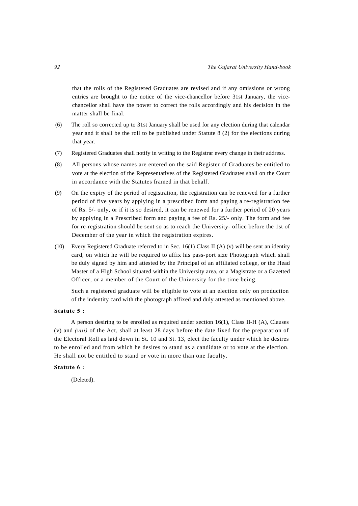that the rolls of the Registered Graduates are revised and if any omissions or wrong entries are brought to the notice of the vice-chancellor before 31st January, the vicechancellor shall have the power to correct the rolls accordingly and his decision in the matter shall be final.

- (6) The roll so corrected up to 31st January shall be used for any election during that calendar year and it shall be the roll to be published under Statute 8 (2) for the elections during that year.
- (7) Registered Graduates shall notify in writing to the Registrar every change in their address.
- (8) All persons whose names are entered on the said Register of Graduates be entitled to vote at the election of the Representatives of the Registered Graduates shall on the Court in accordance with the Statutes framed in that behalf.
- (9) On the expiry of the period of registration, the registration can be renewed for a further period of five years by applying in a prescribed form and paying a re-registration fee of Rs. 5/- only, or if it is so desired, it can be renewed for a further period of 20 years by applying in a Prescribed form and paying a fee of Rs. 25/- only. The form and fee for re-registration should be sent so as to reach the University- office before the 1st of December of the year in which the registration expires.
- (10) Every Registered Graduate referred to in Sec. 16(1) Class II (A) (v) will be sent an identity card, on which he will be required to affix his pass-port size Photograph which shall be duly signed by him and attested by the Principal of an affiliated college, or the Head Master of a High School situated within the University area, or a Magistrate or a Gazetted Officer, or a member of the Court of the University for the time being.

Such a registered graduate will be eligible to vote at an election only on production of the indentity card with the photograph affixed and duly attested as mentioned above.

#### **Statute 5 :**

A person desiring to be enrolled as required under section 16(1), Class II-H (A), Clauses (v) and *(viii)* of the Act, shall at least 28 days before the date fixed for the preparation of the Electoral Roll as laid down in St. 10 and St. 13, elect the faculty under which he desires to be enrolled and from which he desires to stand as a candidate or to vote at the election. He shall not be entitled to stand or vote in more than one faculty.

#### **Statute 6 :**

(Deleted).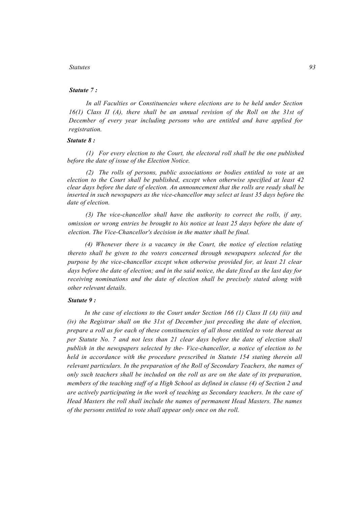# *Statute 7 :*

*In all Faculties or Constituencies where elections are to be held under Section 16(1) Class II (A), there shall be an annual revision of the Roll on the 31st of December of every year including persons who are entitled and have applied for registration.* 

#### *Statute 8 :*

*(1) For every election to the Court, the electoral roll shall be the one published before the date of issue of the Election Notice.* 

*(2) The rolls of persons, public associations or bodies entitled to vote at an election to the Court shall be published, except when otherwise specified at least 42 clear days before the date of election. An announcement that the rolls are ready shall be inserted in such newspapers as the vice-chancellor may select at least 35 days before the date of election.* 

*(3) The vice-chancellor shall have the authority to correct the rolls, if any, omission or wrong entries be brought to his notice at least 25 days before the date of election. The Vice-Chancellor's decision in the matter shall be final.* 

*(4) Whenever there is a vacancy in the Court, the notice of election relating thereto shall be given to the voters concerned through newspapers selected for the purpose by the vice-chancellor except when otherwise provided for, at least 21 clear days before the date of election; and in the said notice, the date fixed as the last day for receiving nominations and the date of election shall be precisely stated along with other relevant details.* 

#### *Statute 9 :*

*In the case of elections to the Court under Section 166 (1) Class II (A) (iii) and (iv) the Registrar shall on the 31st of December just preceding the date of election, prepare a roll as for each of these constituencies of all those entitled to vote thereat as per Statute No. 7 and not less than 21 clear days before the date of election shall publish in the newspapers selected by the- Vice-chancellor, a notice of election to be held in accordance with the procedure prescribed in Statute 154 stating therein all relevant particulars. In the preparation of the Roll of Secondary Teachers, the names of only such teachers shall be included on the roll as are on the date of its preparation, members of the teaching staff of a High School as defined in clause (4) of Section 2 and are actively participating in the work of teaching as Secondary teachers. In the case of Head Masters the roll shall include the names of permanent Head Masters. The names of the persons entitled to vote shall appear only once on the roll.*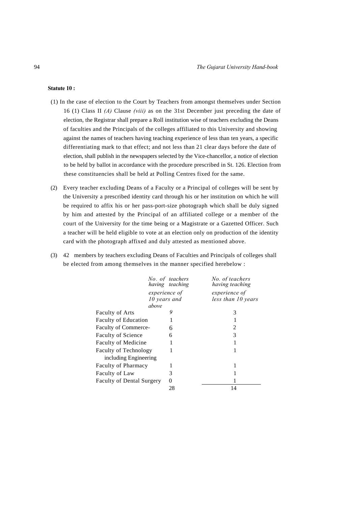# **Statute 10 :**

- (1) In the case of election to the Court by Teachers from amongst themselves under Section 16 (1) Class II *(A)* Clause *(viii)* as on the 31st December just preceding the date of election, the Registrar shall prepare a Roll institution wise of teachers excluding the Deans of faculties and the Principals of the colleges affiliated to this University and showing against the names of teachers having teaching experience of less than ten years, a specific differentiating mark to that effect; and not less than 21 clear days before the date of election, shall publish in the newspapers selected by the Vice-chancellor, a notice of election to be held by ballot in accordance with the procedure prescribed in St. 126. Election from these constituencies shall be held at Polling Centres fixed for the same.
- (2) Every teacher excluding Deans of a Faculty or a Principal of colleges will be sent by the University a prescribed identity card through his or her institution on which he will be required to affix his or her pass-port-size photograph which shall be duly signed by him and attested by the Principal of an affiliated college or a member of the court of the University for the time being or a Magistrate or a Gazetted Officer. Such a teacher will be held eligible to vote at an election only on production of the identity card with the photograph affixed and duly attested as mentioned above.
- (3) 42 members by teachers excluding Deans of Faculties and Principals of colleges shall be elected from among themselves in the manner specified herebelow :

|                                  | No. of teachers<br>having teaching | No. of teachers<br>having teaching |
|----------------------------------|------------------------------------|------------------------------------|
|                                  | experience of                      | experience of                      |
|                                  | 10 years and                       | less than 10 years                 |
| above                            |                                    |                                    |
| <b>Faculty of Arts</b>           | 9                                  | 3                                  |
| <b>Faculty of Education</b>      |                                    |                                    |
| Faculty of Commerce-             | 6                                  | $\overline{c}$                     |
| Faculty of Science               | 6                                  | 3                                  |
| Faculty of Medicine              |                                    |                                    |
| <b>Faculty of Technology</b>     |                                    |                                    |
| including Engineering            |                                    |                                    |
| <b>Faculty of Pharmacy</b>       |                                    |                                    |
| Faculty of Law                   | 3                                  |                                    |
| <b>Faculty of Dental Surgery</b> | $\mathbf{\Omega}$                  |                                    |
|                                  | 28                                 | 14                                 |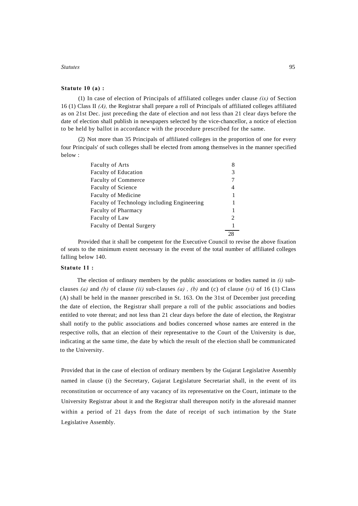# **Statute 10 (a) :**

(1) In case of election of Principals of affiliated colleges under clause *(ix)* of Section 16 (1) Class II *(A),* the Registrar shall prepare a roll of Principals of affiliated colleges affiliated as on 21st Dec. just preceding the date of election and not less than 21 clear days before the date of election shall publish in newspapers selected by the vice-chancellor, a notice of election to be held by ballot in accordance with the procedure prescribed for the same.

(2) Not more than 35 Principals of affiliated colleges in the proportion of one for every four Principals' of such colleges shall be elected from among themselves in the manner specified below :

| <b>Faculty of Arts</b>                      |                                                                                                                                                                 |
|---------------------------------------------|-----------------------------------------------------------------------------------------------------------------------------------------------------------------|
| <b>Faculty of Education</b>                 |                                                                                                                                                                 |
| <b>Faculty of Commerce</b>                  |                                                                                                                                                                 |
| <b>Faculty of Science</b>                   | 4                                                                                                                                                               |
| Faculty of Medicine                         |                                                                                                                                                                 |
| Faculty of Technology including Engineering |                                                                                                                                                                 |
| <b>Faculty of Pharmacy</b>                  |                                                                                                                                                                 |
| Faculty of Law                              | $\mathcal{D}_{\mathcal{A}}^{\mathcal{A}}(\mathcal{A})=\mathcal{D}_{\mathcal{A}}^{\mathcal{A}}(\mathcal{A})\mathcal{D}_{\mathcal{A}}^{\mathcal{A}}(\mathcal{A})$ |
| <b>Faculty of Dental Surgery</b>            |                                                                                                                                                                 |
|                                             |                                                                                                                                                                 |

Provided that it shall be competent for the Executive Council to revise the above fixation of seats to the minimum extent necessary in the event of the total number of affiliated colleges falling below 140.

#### **Statute 11 :**

The election of ordinary members by the public associations or bodies named in *(i)* subclauses *(a)* and *(b)* of clause *(ii)* sub-clauses *(a) , (b)* and (c) of clause *(yi)* of 16 (1) Class (A) shall be held in the manner prescribed in St. 163. On the 31st of December just preceding the date of election, the Registrar shall prepare a roll of the public associations and bodies entitled to vote thereat; and not less than 21 clear days before the date of election, the Registrar shall notify to the public associations and bodies concerned whose names are entered in the respective rolls, that an election of their representative to the Court of the University is due, indicating at the same time, the date by which the result of the election shall be communicated to the University.

Provided that in the case of election of ordinary members by the Gujarat Legislative Assembly named in clause (i) the Secretary, Gujarat Legislature Secretariat shall, in the event of its reconstitution or occurrence of any vacancy of its representative on the Court, intimate to the University Registrar about it and the Registrar shall thereupon notify in the aforesaid manner within a period of 21 days from the date of receipt of such intimation by the State Legislative Assembly.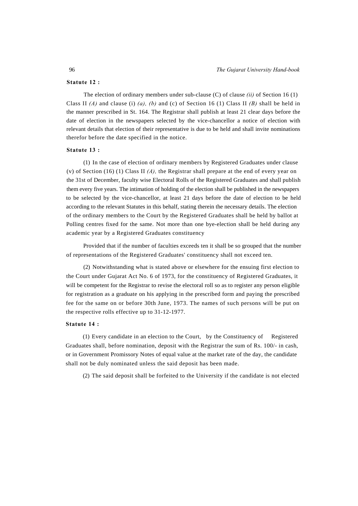# **Statute 12 :**

The election of ordinary members under sub-clause (C) of clause *(ii)* of Section 16 (1) Class II *(A)* and clause (i) *(a), (b)* and (c) of Section 16 (1) Class II *(B)* shall be held in the manner prescribed in St. 164. The Registrar shall publish at least 21 clear days before the date of election in the newspapers selected by the vice-chancellor a notice of election with relevant details that election of their representative is due to be held and shall invite nominations therefor before the date specified in the notice.

#### **Statute 13 :**

(1) In the case of election of ordinary members by Registered Graduates under clause (v) of Section (16) (1) Class II *(A),* the Registrar shall prepare at the end of every year on the 31st of December, faculty wise Electoral Rolls of the Registered Graduates and shall publish them every five years. The intimation of holding of the election shall be published in the newspapers to be selected by the vice-chancellor, at least 21 days before the date of election to be held according to the relevant Statutes in this behalf, stating therein the necessary details. The election of the ordinary members to the Court by the Registered Graduates shall be held by ballot at Polling centres fixed for the same. Not more than one bye-election shall be held during any academic year by a Registered Graduates constituency

Provided that if the number of faculties exceeds ten it shall be so grouped that the number of representations of the Registered Graduates' constituency shall not exceed ten.

(2) Notwithstanding what is stated above or elsewhere for the ensuing first election to the Court under Gujarat Act No. 6 of 1973, for the constituency of Registered Graduates, it will be competent for the Registrar to revise the electoral roll so as to register any person eligible for registration as a graduate on his applying in the prescribed form and paying the prescribed fee for the same on or before 30th June, 1973. The names of such persons will be put on the respective rolls effective up to 31-12-1977.

#### **Statute 14 :**

(1) Every candidate in an election to the Court, by the Constituency of Registered Graduates shall, before nomination, deposit with the Registrar the sum of Rs. 100/- in cash, or in Government Promissory Notes of equal value at the market rate of the day, the candidate shall not be duly nominated unless the said deposit has been made.

(2) The said deposit shall be forfeited to the University if the candidate is not elected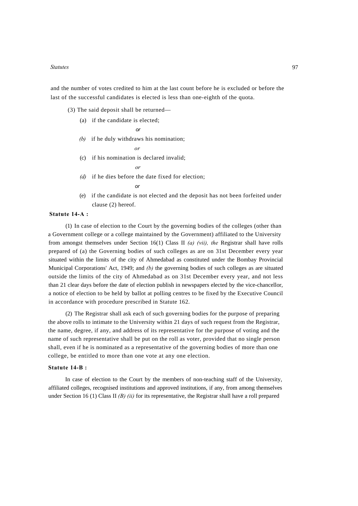and the number of votes credited to him at the last count before he is excluded or before the last of the successful candidates is elected is less than one-eighth of the quota.

(3) The said deposit shall be returned—

(a) if the candidate is elected;

$$
\quad \text{or} \quad
$$

*(b)* if he duly withdraws his nomination;

$$
\overline{or}
$$

(c) if his nomination is declared invalid;

*or*

- *(d)* if he dies before the date fixed for election; *or*
- (e) if the candidate is not elected and the deposit has not been forfeited under clause (2) hereof.

# **Statute 14-A :**

(1) In case of election to the Court by the governing bodies of the colleges (other than a Government college or a college maintained by the Government) affiliated to the University from amongst themselves under Section 16(1) Class II *(a) (vii), the* Registrar shall have rolls prepared of (a) the Governing bodies of such colleges as are on 31st December every year situated within the limits of the city of Ahmedabad as constituted under the Bombay Provincial Municipal Corporations' Act, 1949; and *(b)* the governing bodies of such colleges as are situated outside the limits of the city of Ahmedabad as on 31st December every year, and not less than 21 clear days before the date of election publish in newspapers elected by the vice-chancellor, a notice of election to be held by ballot at polling centres to be fixed by the Executive Council in accordance with procedure prescribed in Statute 162.

(2) The Registrar shall ask each of such governing bodies for the purpose of preparing the above rolls to intimate to the University within 21 days of such request from the Registrar, the name, degree, if any, and address of its representative for the purpose of voting and the name of such representative shall be put on the roll as voter, provided that no single person shall, even if he is nominated as a representative of the governing bodies of more than one college, be entitled to more than one vote at any one election.

#### **Statute 14-B :**

In case of election to the Court by the members of non-teaching staff of the University, affiliated colleges, recognised institutions and approved institutions, if any, from among themselves under Section 16 (1) Class II *(B) (ii)* for its representative, the Registrar shall have a roll prepared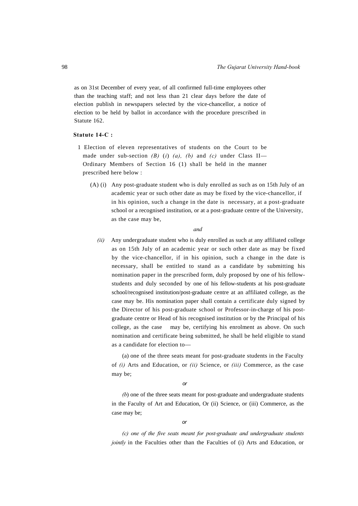as on 31st December of every year, of all confirmed full-time employees other than the teaching staff; and not less than 21 clear days before the date of election publish in newspapers selected by the vice-chancellor, a notice of election to be held by ballot in accordance with the procedure prescribed in Statute 162.

#### **Statute 14-C :**

- 1 Election of eleven representatives of students on the Court to be made under sub-section *(B) (i) (a), (b)* and *(c)* under Class II— Ordinary Members of Section 16 (1) shall be held in the manner prescribed here below :
	- (A) (i) Any post-graduate student who is duly enrolled as such as on 15th July of an academic year or such other date as may be fixed by the vice-chancellor, if in his opinion, such a change in the date is necessary, at a post-graduate school or a recognised institution, or at a post-graduate centre of the University, as the case may be,

#### *and*

*(ii)* Any undergraduate student who is duly enrolled as such at any affiliated college as on 15th July of an academic year or such other date as may be fixed by the vice-chancellor, if in his opinion, such a change in the date is necessary, shall be entitled to stand as a candidate by submitting his nomination paper in the prescribed form, duly proposed by one of his fellowstudents and duly seconded by one of his fellow-students at his post-graduate school/recognised institution/post-graduate centre at an affiliated college, as the case may be. His nomination paper shall contain a certificate duly signed by the Director of his post-graduate school or Professor-in-charge of his postgraduate centre or Head of his recognised institution or by the Principal of his college, as the case may be, certifying his enrolment as above. On such nomination and certificate being submitted, he shall be held eligible to stand as a candidate for election to—

(a) one of the three seats meant for post-graduate students in the Faculty of *(i)* Arts and Education, or *(ii)* Science, or *(iii)* Commerce, as the case may be;

*or*

*(b)* one of the three seats meant for post-graduate and undergraduate students in the Faculty of Art and Education, Or (ii) Science, or (iii) Commerce, as the case may be;

*or*

*(c) one of the five seats meant for post-graduate and undergraduate students jointly* in the Faculties other than the Faculties of (i) Arts and Education, or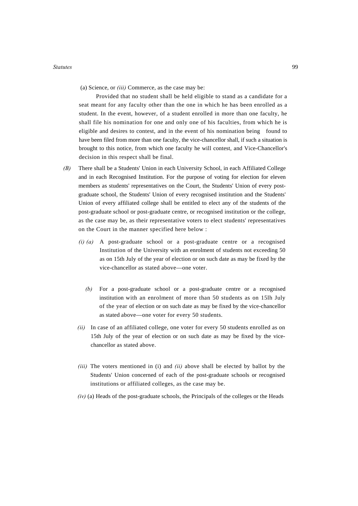(a) Science, or *(iii)* Commerce, as the case may be:

Provided that no student shall be held eligible to stand as a candidate for a seat meant for any faculty other than the one in which he has been enrolled as a student. In the event, however, of a student enrolled in more than one faculty, he shall file his nomination for one and only one of his faculties, from which he is eligible and desires to contest, and in the event of his nomination being found to have been filed from more than one faculty, the vice-chancellor shall, if such a situation is brought to this notice, from which one faculty he will contest, and Vice-Chancellor's decision in this respect shall be final.

- *(B)* There shall be a Students' Union in each University School, in each Affiliated College and in each Recognised Institution. For the purpose of voting for election for eleven members as students' representatives on the Court, the Students' Union of every postgraduate school, the Students' Union of every recognised institution and the Students' Union of every affiliated college shall be entitled to elect any of the students of the post-graduate school or post-graduate centre, or recognised institution or the college, as the case may be, as their representative voters to elect students' representatives on the Court in the manner specified here below :
	- *(i) (a)* A post-graduate school or a post-graduate centre or a recognised Institution of the University with an enrolment of students not exceeding 50 as on 15th July of the year of election or on such date as may be fixed by the vice-chancellor as stated above—one voter.
		- *(b)* For a post-graduate school or a post-graduate centre or a recognised institution with an enrolment of more than 50 students as on 15lh July of the year of election or on such date as may be fixed by the vice-chancellor as stated above—one voter for every 50 students.
	- *(ii)* In case of an affiliated college, one voter for every 50 students enrolled as on 15th July of the year of election or on such date as may be fixed by the vicechancellor as stated above.
	- *(iii)* The voters mentioned in (i) and *(ii)* above shall be elected by ballot by the Students' Union concerned of each of the post-graduate schools or recognised institutions or affiliated colleges, as the case may be.
	- *(iv)* (a) Heads of the post-graduate schools, the Principals of the colleges or the Heads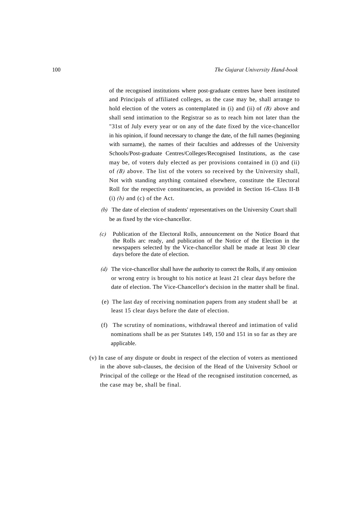of the recognised institutions where post-graduate centres have been instituted and Principals of affiliated colleges, as the case may be, shall arrange to hold election of the voters as contemplated in (i) and (ii) of *(B)* above and shall send intimation to the Registrar so as to reach him not later than the "31st of July every year or on any of the date fixed by the vice-chancellor in his opinion, if found necessary to change the date, of the full names (beginning with surname), the names of their faculties and addresses of the University Schools/Post-graduate Centres/Colleges/Recognised Institutions, as the case may be, of voters duly elected as per provisions contained in (i) and (ii) of *(B)* above. The list of the voters so received by the University shall, Not with standing anything contained elsewhere, constitute the Electoral Roll for the respective constituencies, as provided in Section 16–Class II-B  $(i)$   $(b)$  and  $(c)$  of the Act.

- *(b)* The date of election of students' representatives on the University Court shall be as fixed by the vice-chancellor.
- *(c)* Publication of the Electoral Rolls, announcement on the Notice Board that the Rolls arc ready, and publication of the Notice of the Election in the newspapers selected by the Vice-chancellor shall be made at least 30 clear days before the date of election.
- *(d)* The vice-chancellor shall have the authority to correct the Rolls, if any omission or wrong entry is brought to his notice at least 21 clear days before the date of election. The Vice-Chancellor's decision in the matter shall be final.
- (e) The last day of receiving nomination papers from any student shall be at least 15 clear days before the date of election.
- (f) The scrutiny of nominations, withdrawal thereof and intimation of valid nominations shall be as per Statutes 149, 150 and 151 in so far as they are applicable.
- (v) In case of any dispute or doubt in respect of the election of voters as mentioned in the above sub-clauses, the decision of the Head of the University School or Principal of the college or the Head of the recognised institution concerned, as the case may be, shall be final.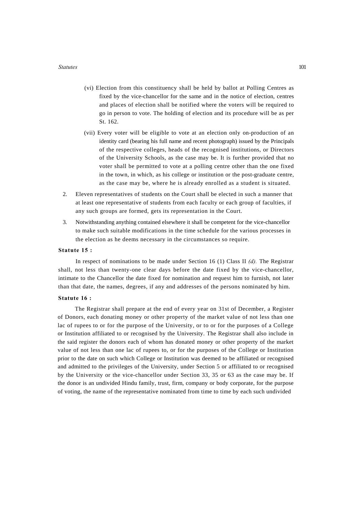- (vi) Election from this constituency shall be held by ballot at Polling Centres as fixed by the vice-chancellor for the same and in the notice of election, centres and places of election shall be notified where the voters will be required to go in person to vote. The holding of election and its procedure will be as per St. 162.
- (vii) Every voter will be eligible to vote at an election only on-production of an identity card (bearing his full name and recent photograph) issued by the Principals of the respective colleges, heads of the recognised institutions, or Directors of the University Schools, as the case may be. It is further provided that no voter shall be permitted to vote at a polling centre other than the one fixed in the town, in which, as his college or institution or the post-graduate centre, as the case may be, where he is already enrolled as a student is situated.
- 2. Eleven representatives of students on the Court shall be elected in such a manner that at least one representative of students from each faculty or each group of faculties, if any such groups are formed, gets its representation in the Court.
- 3. Notwithstanding anything contained elsewhere it shall be competent for the vice-chancellor to make such suitable modifications in the time schedule for the various processes in the election as he deems necessary in the circumstances so require.

#### **Statute 15 :**

In respect of nominations to be made under Section 16 (1) Class II *(d).* The Registrar shall, not less than twenty-one clear days before the date fixed by the vice-chancellor, intimate to the Chancellor the date fixed for nomination and request him to furnish, not later than that date, the names, degrees, if any and addresses of the persons nominated by him.

#### **Statute 16 :**

The Registrar shall prepare at the end of every year on 31st of December, a Register of Donors, each donating money or other property of the market value of not less than one lac of rupees to or for the purpose of the University, or to or for the purposes of a College or Institution affiliated to or recognised by the University. The Registrar shall also include in the said register the donors each of whom has donated money or other property of the market value of not less than one lac of rupees to, or for the purposes of the College or Institution prior to the date on such which College or Institution was deemed to be affiliated or recognised and admitted to the privileges of the University, under Section 5 or affiliated to or recognised by the University or the vice-chancellor under Section 33, 35 or 63 as the case may be. If the donor is an undivided Hindu family, trust, firm, company or body corporate, for the purpose of voting, the name of the representative nominated from time to time by each such undivided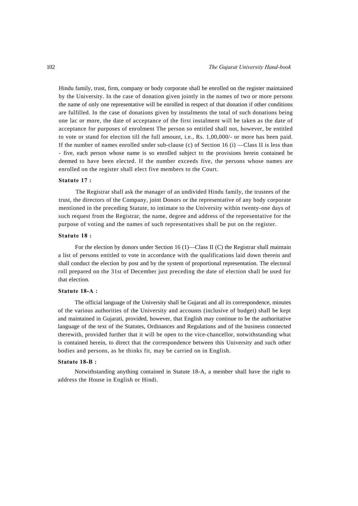Hindu family, trust, firm, company or body corporate shall be enrolled on the register maintained by the University. In the case of donation given jointly in the names of two or more persons the name of only one representative will be enrolled in respect of that donation if other conditions are fulfilled. In the case of donations given by instalments the total of such donations being one lac or more, the date of acceptance of the first instalment will be taken as the date of acceptance for purposes of enrolment The person so entitled shall not, however, be entitled to vote or stand for election till the full amount, i.e., Rs. 1,00,000/- or more has been paid. If the number of names enrolled under sub-clause (c) of Section 16 (i) —Class II is less than - five, each person whose name is so enrolled subject to the provisions herein contained be deemed to have been elected. If the number exceeds five, the persons whose names are enrolled on the register shall elect five members to the Court.

# **Statute 17 :**

The Registrar shall ask the manager of an undivided Hindu family, the trustees of the trust, the directors of the Company, joint Donors or the representative of any body corporate mentioned in the preceding Statute, to intimate to the University within twenty-one days of such request from the Registrar, the name, degree and address of the representative for the purpose of voting and the names of such representatives shall be put on the register.

# **Statute 18 :**

For the election by donors under Section 16 (1)—Class II (C) the Registrar shall maintain a list of persons entitled to vote in accordance with the qualifications laid down therein and shall conduct the election by post and by the system of proportional representation. The electoral roll prepared on the 31st of December just preceding the date of election shall be used for that election.

#### **Statute 18-A :**

The official language of the University shall be Gujarati and all its correspondence, minutes of the various authorities of the University and accounts (inclusive of budget) shall be kept and maintained in Gujarati, provided, however, that English may continue to be the authoritative language of the text of the Statutes, Ordinances and Regulations and of the business connected therewith, provided further that it will be open to the vice-chancellor, notwithstanding what is contained herein, to direct that the correspondence between this University and such other bodies and persons, as he thinks fit, may be carried on in English.

#### **Statute 18-B :**

Notwithstanding anything contained in Statute 18-A, a member shall have the right to address the House in English or Hindi.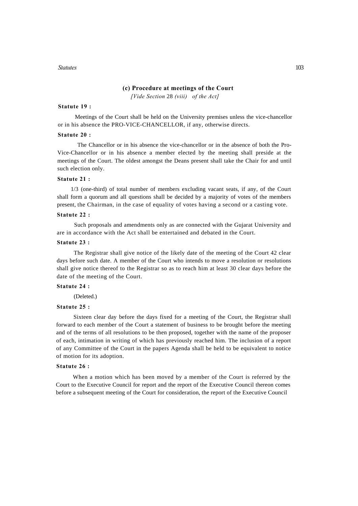#### **(c) Procedure at meetings of the Court**

*[Vide Section* 28 *(viii) of the Act]*

#### **Statute 19 :**

Meetings of the Court shall be held on the University premises unless the vice-chancellor or in his absence the PRO-VICE-CHANCELLOR, if any, otherwise directs.

#### **Statute 20 :**

The Chancellor or in his absence the vice-chancellor or in the absence of both the Pro-Vice-Chancellor or in his absence a member elected by the meeting shall preside at the meetings of the Court. The oldest amongst the Deans present shall take the Chair for and until such election only.

#### **Statute 21 :**

1/3 (one-third) of total number of members excluding vacant seats, if any, of the Court shall form a quorum and all questions shall be decided by a majority of votes of the members present, the Chairman, in the case of equality of votes having a second or a casting vote.

# **Statute 22 :**

Such proposals and amendments only as are connected with the Gujarat University and are in accordance with the Act shall be entertained and debated in the Court.

#### **Statute 23 :**

The Registrar shall give notice of the likely date of the meeting of the Court 42 clear days before such date. A member of the Court who intends to move a resolution or resolutions shall give notice thereof to the Registrar so as to reach him at least 30 clear days before the date of the meeting of the Court.

#### **Statute 24 :**

(Deleted.)

#### **Statute 25 :**

Sixteen clear day before the days fixed for a meeting of the Court, the Registrar shall forward to each member of the Court a statement of business to be brought before the meeting and of the terms of all resolutions to be then proposed, together with the name of the proposer of each, intimation in writing of which has previously reached him. The inclusion of a report of any Committee of the Court in the papers Agenda shall be held to be equivalent to notice of motion for its adoption.

#### **Statute 26 :**

When a motion which has been moved by a member of the Court is referred by the Court to the Executive Council for report and the report of the Executive Council thereon comes before a subsequent meeting of the Court for consideration, the report of the Executive Council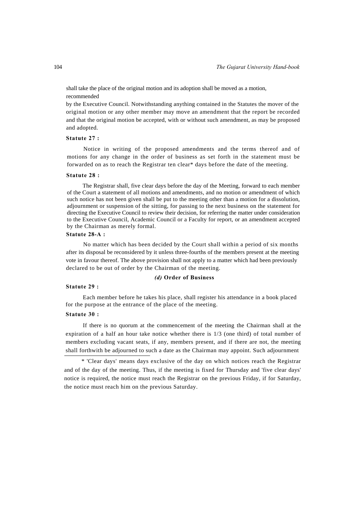shall take the place of the original motion and its adoption shall be moved as a motion, recommended

by the Executive Council. Notwithstanding anything contained in the Statutes the mover of the original motion or any other member may move an amendment that the report be recorded and that the original motion be accepted, with or without such amendment, as may be proposed and adopted.

#### **Statute 27 :**

Notice in writing of the proposed amendments and the terms thereof and of motions for any change in the order of business as set forth in the statement must be forwarded on as to reach the Registrar ten clear\* days before the date of the meeting.

#### **Statute 28 :**

The Registrar shall, five clear days before the day of the Meeting, forward to each member of the Court a statement of all motions and amendments, and no motion or amendment of which such notice has not been given shall be put to the meeting other than a motion for a dissolution, adjournment or suspension of the sitting, for passing to the next business on the statement for directing the Executive Council to review their decision, for referring the matter under consideration to the Executive Council, Academic Council or a Faculty for report, or an amendment accepted by the Chairman as merely formal.

#### **Statute 28-A :**

No matter which has been decided by the Court shall within a period of six months after its disposal be reconsidered by it unless three-fourths of the members present at the meeting vote in favour thereof. The above provision shall not apply to a matter which had been previously declared to be out of order by the Chairman of the meeting.

#### *(d)* **Order of Business**

#### **Statute 29 :**

Each member before he takes his place, shall register his attendance in a book placed for the purpose at the entrance of the place of the meeting.

#### **Statute 30 :**

If there is no quorum at the commencement of the meeting the Chairman shall at the expiration of a half an hour take notice whether there is 1/3 (one third) of total number of members excluding vacant seats, if any, members present, and if there are not, the meeting shall forthwith be adjourned to such a date as the Chairman may appoint. Such adjournment

<sup>\* &#</sup>x27;Clear days' means days exclusive of the day on which notices reach the Registrar and of the day of the meeting. Thus, if the meeting is fixed for Thursday and 'five clear days' notice is required, the notice must reach the Registrar on the previous Friday, if for Saturday, the notice must reach him on the previous Saturday.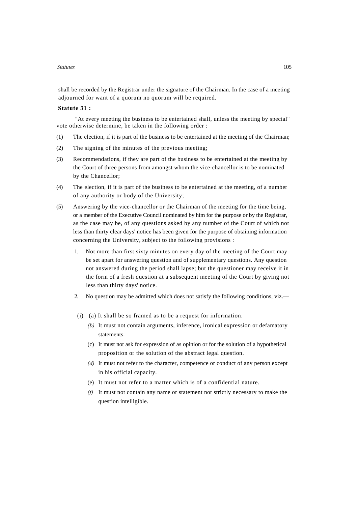shall be recorded by the Registrar under the signature of the Chairman. In the case of a meeting adjourned for want of a quorum no quorum will be required.

#### **Statute 31 :**

"At every meeting the business to be entertained shall, unless the meeting by special" vote otherwise determine, be taken in the following order :

- (1) The election, if it is part of the business to be entertained at the meeting of the Chairman;
- (2) The signing of the minutes of the previous meeting;
- (3) Recommendations, if they are part of the business to be entertained at the meeting by the Court of three persons from amongst whom the vice-chancellor is to be nominated by the Chancellor;
- (4) The election, if it is part of the business to be entertained at the meeting, of a number of any authority or body of the University;
- (5) Answering by the vice-chancellor or the Chairman of the meeting for the time being, or a member of the Executive Council nominated by him for the purpose or by the Registrar, as the case may be, of any questions asked by any number of the Court of which not less than thirty clear days' notice has been given for the purpose of obtaining information concerning the University, subject to the following provisions :
	- 1. Not more than first sixty minutes on every day of the meeting of the Court may be set apart for answering question and of supplementary questions. Any question not answered during the period shall lapse; but the questioner may receive it in the form of a fresh question at a subsequent meeting of the Court by giving not less than thirty days' notice.
	- 2. No question may be admitted which does not satisfy the following conditions, viz.—
	- (i) (a) It shall be so framed as to be a request for information.
		- *(b)* It must not contain arguments, inference, ironical expression or defamatory statements.
		- (c) It must not ask for expression of as opinion or for the solution of a hypothetical proposition or the solution of the abstract legal question.
		- *(d)* It must not refer to the character, competence or conduct of any person except in his official capacity.
		- (e) It must not refer to a matter which is of a confidential nature.
		- *(f)* It must not contain any name or statement not strictly necessary to make the question intelligible.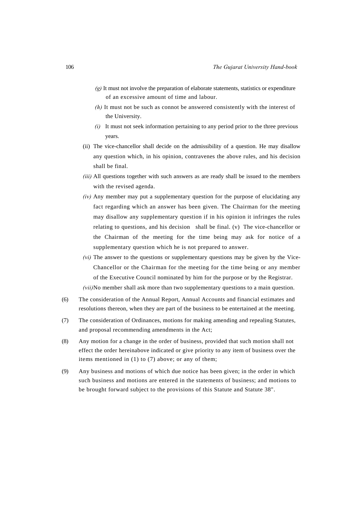- *(g)* It must not involve the preparation of elaborate statements, statistics or expenditure of an excessive amount of time and labour.
- *(h)* It must not be such as connot be answered consistently with the interest of the University.
- *(i)* It must not seek information pertaining to any period prior to the three previous years.
- (ii) The vice-chancellor shall decide on the admissibility of a question. He may disallow any question which, in his opinion, contravenes the above rules, and his decision shall be final.
- *(iii)* All questions together with such answers as are ready shall be issued to the members with the revised agenda.
- *(iv)* Any member may put a supplementary question for the purpose of elucidating any fact regarding which an answer has been given. The Chairman for the meeting may disallow any supplementary question if in his opinion it infringes the rules relating to questions, and his decision shall be final. (v) The vice-chancellor or the Chairman of the meeting for the time being may ask for notice of a supplementary question which he is not prepared to answer.
- *(vi)* The answer to the questions or supplementary questions may be given by the Vice-Chancellor or the Chairman for the meeting for the time being or any member of the Executive Council nominated by him for the purpose or by the Registrar. *(vii)* No member shall ask more than two supplementary questions to a main question.
- (6) The consideration of the Annual Report, Annual Accounts and financial estimates and resolutions thereon, when they are part of the business to be entertained at the meeting.
- (7) The consideration of Ordinances, motions for making amending and repealing Statutes, and proposal recommending amendments in the Act;
- (8) Any motion for a change in the order of business, provided that such motion shall not effect the order hereinabove indicated or give priority to any item of business over the items mentioned in (1) to (7) above; or any of them;
- (9) Any business and motions of which due notice has been given; in the order in which such business and motions are entered in the statements of business; and motions to be brought forward subject to the provisions of this Statute and Statute 38".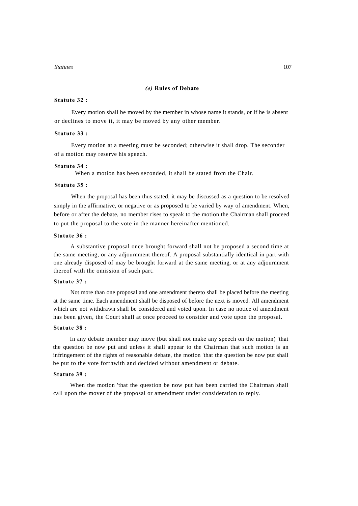# *(e)* **Rules of Debate**

#### **Statute 32 :**

Every motion shall be moved by the member in whose name it stands, or if he is absent or declines to move it, it may be moved by any other member.

#### **Statute 33 :**

Every motion at a meeting must be seconded; otherwise it shall drop. The seconder of a motion may reserve his speech.

#### **Statute 34 :**

When a motion has been seconded, it shall be stated from the Chair.

#### **Statute 35 :**

When the proposal has been thus stated, it may be discussed as a question to be resolved simply in the affirmative, or negative or as proposed to be varied by way of amendment. When, before or after the debate, no member rises to speak to the motion the Chairman shall proceed to put the proposal to the vote in the manner hereinafter mentioned.

#### **Statute 36 :**

A substantive proposal once brought forward shall not be proposed a second time at the same meeting, or any adjournment thereof. A proposal substantially identical in part with one already disposed of may be brought forward at the same meeting, or at any adjournment thereof with the omission of such part.

#### **Statute 37 :**

Not more than one proposal and one amendment thereto shall be placed before the meeting at the same time. Each amendment shall be disposed of before the next is moved. All amendment which are not withdrawn shall be considered and voted upon. In case no notice of amendment has been given, the Court shall at once proceed to consider and vote upon the proposal.

#### **Statute 38 :**

In any debate member may move (but shall not make any speech on the motion) 'that the question be now put and unless it shall appear to the Chairman that such motion is an infringement of the rights of reasonable debate, the motion 'that the question be now put shall be put to the vote forthwith and decided without amendment or debate.

#### **Statute 39 :**

When the motion 'that the question be now put has been carried the Chairman shall call upon the mover of the proposal or amendment under consideration to reply.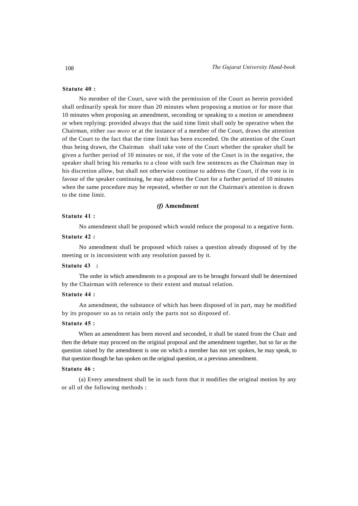# **Statute 40 :**

No member of the Court, save with the permission of the Court as herein provided shall ordinarily speak for more than 20 minutes when proposing a motion or for more that 10 minutes when proposing an amendment, seconding or speaking to a motion or amendment or when replying: provided always that the said time limit shall only be operative when the Chairman, either *suo moto* or at the instance of a member of the Court, draws the attention of the Court to the fact that the time limit has been exceeded. On the attention of the Court thus being drawn, the Chairman shall take vote of the Court whether the speaker shall be given a further period of 10 minutes or not, if the vote of the Court is in the negative, the speaker shall bring his remarks to a close with such few sentences as the Chairman may in his discretion allow, but shall not otherwise continue to address the Court, if the vote is in favour of the speaker continuing, he may address the Court for a further period of 10 minutes when the same procedure may be repeated, whether or not the Chairman's attention is drawn to the time limit.

#### *(f)* **Amendment**

# **Statute 41 :**

No amendment shall be proposed which would reduce the proposal to a negative form.

# **Statute 42 :**

No amendment shall be proposed which raises a question already disposed of by the meeting or is inconsistent with any resolution passed by it.

#### **Statute 43 :**

The order in which amendments to a proposal are to be brought forward shall be determined by the Chairman with reference to their extent and mutual relation.

## **Statute 44 :**

An amendment, the substance of which has been disposed of in part, may be modified by its proposer so as to retain only the parts not so disposed of.

#### **Statute 45 :**

When an amendment has been moved and seconded, it shall be stated from the Chair and then the debate may proceed on the original proposal and the amendment together, but so far as the question raised by the amendment is one on which a member has not yet spoken, he may speak, to that question though he has spoken on the original question, or a previous amendment.

#### **Statute 46 :**

(a) Every amendment shall be in such form that it modifies the original motion by any or all of the following methods :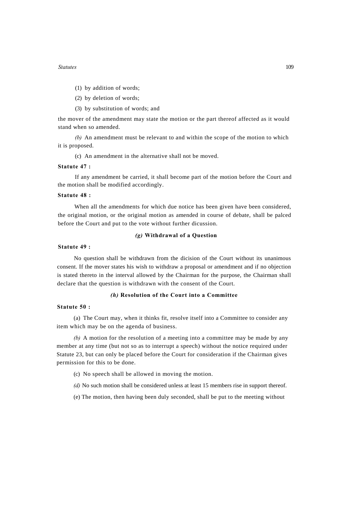- (1) by addition of words;
- (2) by deletion of words;
- (3) by substitution of words; and

the mover of the amendment may state the motion or the part thereof affected as it would stand when so amended.

*(b)* An amendment must be relevant to and within the scope of the motion to which it is proposed.

(c) An amendment in the alternative shall not be moved.

#### **Statute 47 :**

If any amendment be carried, it shall become part of the motion before the Court and the motion shall be modified accordingly.

#### **Statute 48 :**

When all the amendments for which due notice has been given have been considered, the original motion, or the original motion as amended in course of debate, shall be palced before the Court and put to the vote without further dicussion.

# *(g)* **Withdrawal of a Question**

# **Statute 49 :**

No question shall be withdrawn from the dicision of the Court without its unanimous consent. If the mover states his wish to withdraw a proposal or amendment and if no objection is stated thereto in the interval allowed by the Chairman for the purpose, the Chairman shall declare that the question is withdrawn with the consent of the Court.

#### *(h)* **Resolution of the Court into a Committee**

#### **Statute 50 :**

(a) The Court may, when it thinks fit, resolve itself into a Committee to consider any item which may be on the agenda of business.

*(b)* A motion for the resolution of a meeting into a committee may be made by any member at any time (but not so as to interrupt a speech) without the notice required under Statute 23, but can only be placed before the Court for consideration if the Chairman gives permission for this to be done.

(c) No speech shall be allowed in moving the motion.

*(d)* No such motion shall be considered unless at least 15 members rise in support thereof.

(e) The motion, then having been duly seconded, shall be put to the meeting without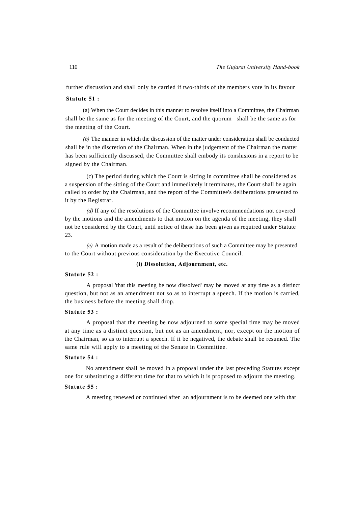further discussion and shall only be carried if two-thirds of the members vote in its favour

#### **Statute 51 :**

(a) When the Court decides in this manner to resolve itself into a Committee, the Chairman shall be the same as for the meeting of the Court, and the quorum shall be the same as for the meeting of the Court.

*(b)* The manner in which the discussion of the matter under consideration shall be conducted shall be in the discretion of the Chairman. When in the judgement of the Chairman the matter has been sufficiently discussed, the Committee shall embody its conslusions in a report to be signed by the Chairman.

(c) The period during which the Court is sitting in committee shall be considered as a suspension of the sitting of the Court and immediately it terminates, the Court shall be again called to order by the Chairman, and the report of the Committee's deliberations presented to it by the Registrar.

*(d)* If any of the resolutions of the Committee involve recommendations not covered by the motions and the amendments to that motion on the agenda of the meeting, they shall not be considered by the Court, until notice of these has been given as required under Statute 23.

*(e)* A motion made as a result of the deliberations of such a Committee may be presented to the Court without previous consideration by the Executive Council.

#### **(i) Dissolution, Adjournment, etc.**

#### **Statute 52 :**

A proposal 'that this meeting be now dissolved' may be moved at any time as a distinct question, but not as an amendment not so as to interrupt a speech. If the motion is carried, the business before the meeting shall drop.

#### **Statute 53 :**

A proposal that the meeting be now adjourned to some special time may be moved at any time as a distinct question, but not as an amendment, nor, except on the motion of the Chairman, so as to interrupt a speech. If it be negatived, the debate shall be resumed. The same rule will apply to a meeting of the Senate in Committee.

#### **Statute 54 :**

No amendment shall be moved in a proposal under the last preceding Statutes except one for substituting a different time for that to which it is proposed to adjourn the meeting.

#### **Statute 55 :**

A meeting renewed or continued after an adjournment is to be deemed one with that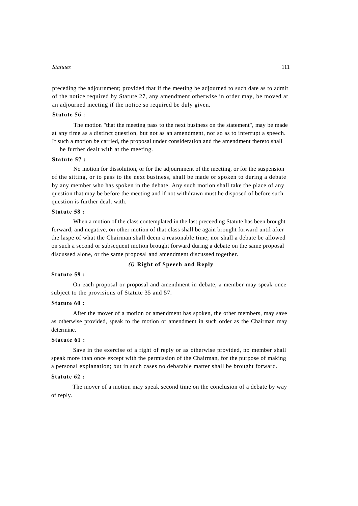preceding the adjournment; provided that if the meeting be adjourned to such date as to admit of the notice required by Statute 27, any amendment otherwise in order may, be moved at an adjourned meeting if the notice so required be duly given.

# **Statute 56 :**

The motion "that the meeting pass to the next business on the statement", may be made at any time as a distinct question, but not as an amendment, nor so as to interrupt a speech. If such a motion be carried, the proposal under consideration and the amendment thereto shall

be further dealt with at the meeting.

#### **Statute 57 :**

No motion for dissolution, or for the adjournment of the meeting, or for the suspension of the sitting, or to pass to the next business, shall be made or spoken to during a debate by any member who has spoken in the debate. Any such motion shall take the place of any question that may be before the meeting and if not withdrawn must he disposed of before such question is further dealt with.

#### **Statute 58 :**

When a motion of the class contemplated in the last preceeding Statute has been brought forward, and negative, on other motion of that class shall be again brought forward until after the laspe of what the Chairman shall deem a reasonable time; nor shall a debate be allowed on such a second or subsequent motion brought forward during a debate on the same proposal discussed alone, or the same proposal and amendment discussed together.

#### *(i)* **Right of Speech and Reply**

#### **Statute 59 :**

On each proposal or proposal and amendment in debate, a member may speak once subject to the provisions of Statute 35 and 57.

# **Statute 60 :**

After the mover of a motion or amendment has spoken, the other members, may save as otherwise provided, speak to the motion or amendment in such order as the Chairman may determine.

#### **Statute 61 :**

Save in the exercise of a right of reply or as otherwise provided, no member shall speak more than once except with the permission of the Chairman, for the purpose of making a personal explanation; but in such cases no debatable matter shall be brought forward.

# **Statute 62 :**

The mover of a motion may speak second time on the conclusion of a debate by way of reply.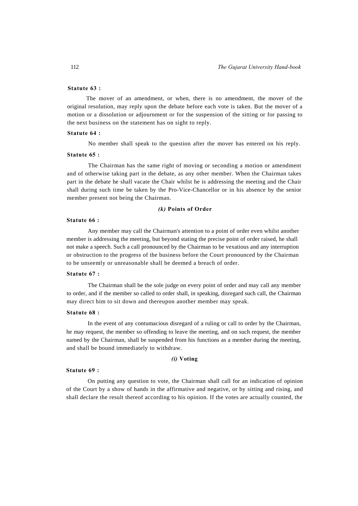# **Statute 63 :**

The mover of an amendment, or when, there is no amendment, the mover of the original resolution, may reply upon the debate before each vote is taken. But the mover of a motion or a dissolution or adjournment or for the suspension of the sitting or for passing to the next business on the statement has on sight to reply.

#### **Statute 64 :**

No member shall speak to the question after the mover has entered on his reply.

#### **Statute 65 :**

The Chairman has the same right of moving or seconding a motion or amendment and of otherwise taking part in the debate, as any other member. When the Chairman takes part in the debate he shall vacate the Chair whilst he is addressing the meeting and the Chair shall during such time be taken by the Pro-Vice-Chancellor or in his absence by the senior member present not being the Chairman.

#### *(k)* **Points of Order**

#### **Statute 66 :**

Any member may call the Chairman's attention to a point of order even whilst another member is addressing the meeting, but beyond stating the precise point of order raised, he shall not make a speech. Such a call pronounced by the Chairman to be vexatious and any interruption or obstruction to the progress of the business before the Court pronounced by the Chairman to be unseemly or unreasonable shall be deemed a breach of order.

# **Statute 67 :**

The Chairman shall be the sole judge on every point of order and may call any member to order, and if the member so called to order shall, in speaking, disregard such call, the Chairman may direct him to sit down and thereupon another member may speak.

#### **Statute 68 :**

In the event of any contumacious disregard of a ruling or call to order by the Chairman, he may request, the member so offending to leave the meeting, and on such request, the member named by the Chairman, shall be suspended from his functions as a member during the meeting, and shall be bound immediately to withdraw.

#### *(i)* **Voting**

#### **Statute 69 :**

On putting any question to vote, the Chairman shall call for an indication of opinion of the Court by a show of hands in the affirmative and negative, or by sitting and rising, and shall declare the result thereof according to his opinion. If the votes are actually counted, the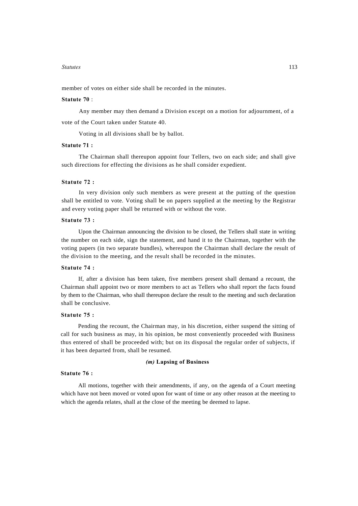member of votes on either side shall be recorded in the minutes.

#### **Statute 70** :

Any member may then demand a Division except on a motion for adjournment, of a vote of the Court taken under Statute 40.

Voting in all divisions shall be by ballot.

#### **Statute 71 :**

The Chairman shall thereupon appoint four Tellers, two on each side; and shall give such directions for effecting the divisions as he shall consider expedient.

#### **Statute 72 :**

In very division only such members as were present at the putting of the question shall be entitled to vote. Voting shall be on papers supplied at the meeting by the Registrar and every voting paper shall be returned with or without the vote.

#### **Statute 73 :**

Upon the Chairman announcing the division to be closed, the Tellers shall state in writing the number on each side, sign the statement, and hand it to the Chairman, together with the voting papers (in two separate bundles), whereupon the Chairman shall declare the result of the division to the meeting, and the result shall be recorded in the minutes.

#### **Statute 74 :**

If, after a division has been taken, five members present shall demand a recount, the Chairman shall appoint two or more members to act as Tellers who shall report the facts found by them to the Chairman, who shall thereupon declare the result to the meeting and such declaration shall be conclusive.

#### **Statute 75 :**

Pending the recount, the Chairman may, in his discretion, either suspend the sitting of call for such business as may, in his opinion, be most conveniently proceeded with Business thus entered of shall be proceeded with; but on its disposal the regular order of subjects, if it has been departed from, shall be resumed.

#### *(m)* **Lapsing of Business**

#### **Statute 76 :**

All motions, together with their amendments, if any, on the agenda of a Court meeting which have not been moved or voted upon for want of time or any other reason at the meeting to which the agenda relates, shall at the close of the meeting be deemed to lapse.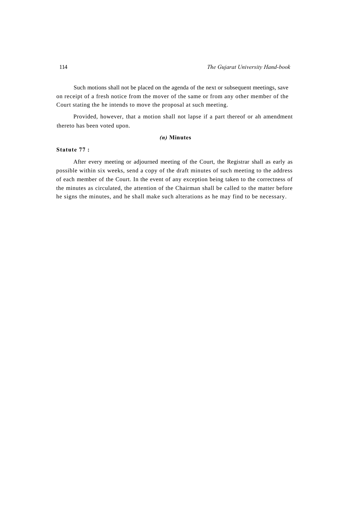Such motions shall not be placed on the agenda of the next or subsequent meetings, save on receipt of a fresh notice from the mover of the same or from any other member of the Court stating the he intends to move the proposal at such meeting.

Provided, however, that a motion shall not lapse if a part thereof or ah amendment thereto has been voted upon.

# *(n)* **Minutes**

# **Statute 77 :**

After every meeting or adjourned meeting of the Court, the Registrar shall as early as possible within six weeks, send a copy of the draft minutes of such meeting to the address of each member of the Court. In the event of any exception being taken to the correctness of the minutes as circulated, the attention of the Chairman shall be called to the matter before he signs the minutes, and he shall make such alterations as he may find to be necessary.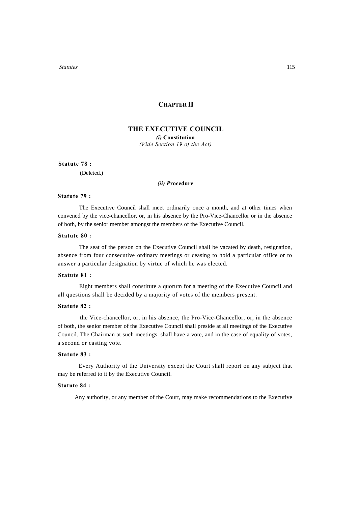# **CHAPTER II**

# **THE EXECUTIVE COUNCIL**

*(i)* **Constitution**  *(Vide Section 19 of the Act)*

#### **Statute 78 :**

(Deleted.)

### *(ii) P***rocedure**

# **Statute 79 :**

The Executive Council shall meet ordinarily once a month, and at other times when convened by the vice-chancellor, or, in his absence by the Pro-Vice-Chancellor or in the absence of both, by the senior member amongst the members of the Executive Council.

# **Statute 80 :**

The seat of the person on the Executive Council shall be vacated by death, resignation, absence from four consecutive ordinary meetings or ceasing to hold a particular office or to answer a particular designation by virtue of which he was elected.

# **Statute 81 :**

Eight members shall constitute a quorum for a meeting of the Executive Council and all questions shall be decided by a majority of votes of the members present.

#### **Statute 82 :**

the Vice-chancellor, or, in his absence, the Pro-Vice-Chancellor, or, in the absence of both, the senior member of the Executive Council shall preside at all meetings of the Executive Council. The Chairman at such meetings, shall have a vote, and in the case of equality of votes, a second or casting vote.

#### **Statute 83 :**

Every Authority of the University except the Court shall report on any subject that may be referred to it by the Executive Council.

#### **Statute 84 :**

Any authority, or any member of the Court, may make recommendations to the Executive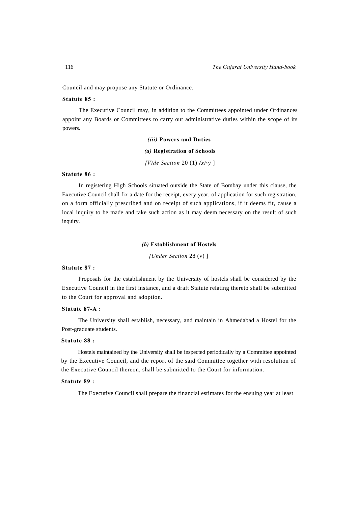Council and may propose any Statute or Ordinance.

# **Statute 85 :**

The Executive Council may, in addition to the Committees appointed under Ordinances appoint any Boards or Committees to carry out administrative duties within the scope of its powers.

#### *(iii)* **Powers and Duties**

#### *(a)* **Registration of Schools**

*[Vide Section* 20 (1) *(xiv)* ]

# **Statute 86 :**

In registering High Schools situated outside the State of Bombay under this clause, the Executive Council shall fix a date for the receipt, every year, of application for such registration, on a form officially prescribed and on receipt of such applications, if it deems fit, cause a local inquiry to be made and take such action as it may deem necessary on the result of such inquiry.

#### *(b)* **Establishment of Hostels**

*[Under Section* 28 (v) ]

# **Statute 87 :**

Proposals for the establishment by the University of hostels shall be considered by the Executive Council in the first instance, and a draft Statute relating thereto shall be submitted to the Court for approval and adoption.

#### **Statute 87-A :**

The University shall establish, necessary, and maintain in Ahmedabad a Hostel for the Post-graduate students.

#### **Statute 88 :**

Hostels maintained by the University shall be inspected periodically by a Committee appointed by the Executive Council, and the report of the said Committee together with resolution of the Executive Council thereon, shall be submitted to the Court for information.

#### **Statute 89 :**

The Executive Council shall prepare the financial estimates for the ensuing year at least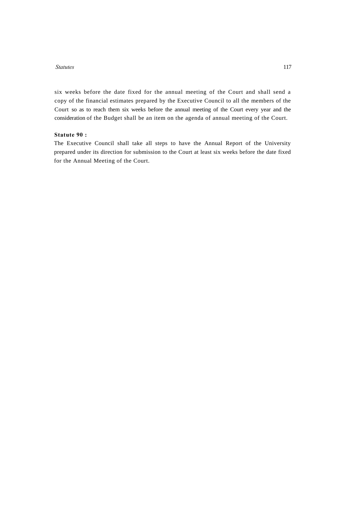six weeks before the date fixed for the annual meeting of the Court and shall send a copy of the financial estimates prepared by the Executive Council to all the members of the Court so as to reach them six weeks before the annual meeting of the Court every year and the consideration of the Budget shall be an item on the agenda of annual meeting of the Court.

# **Statute 90 :**

The Executive Council shall take all steps to have the Annual Report of the University prepared under its direction for submission to the Court at least six weeks before the date fixed for the Annual Meeting of the Court.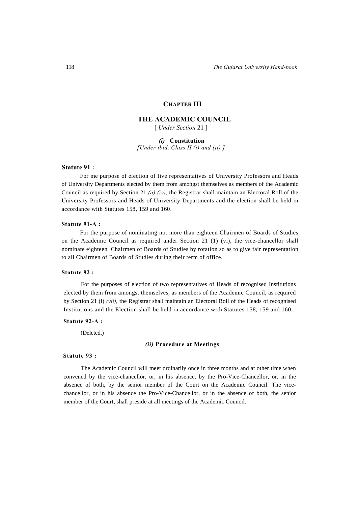# **CHAPTER III**

# **THE ACADEMIC COUNCIL**

[ *Under Section* 21 ]

*(i)* **Constitution** *[Under ibid, Class II (i) and (ii) ]*

# **Statute 91 :**

For me purpose of election of five representatives of University Professors and Heads of University Departments elected by them from amongst themselves as members of the Academic Council as required by Section 21 *(a) (iv),* the Registrar shall maintain an Electoral Roll of the University Professors and Heads of University Departments and the election shall be held in accordance with Statutes 158, 159 and 160.

#### **Statute 91-A :**

For the purpose of nominating not more than eighteen Chairmen of Boards of Studies on the Academic Council as required under Section 21 (1) (vi), the vice-chancellor shall nominate eighteen Chairmen of Boards of Studies by rotation so as to give fair representation to all Chairmen of Boards of Studies during their term of office.

#### **Statute 92 :**

For the purposes of election of two representatives of Heads of recognised Institutions elected by them from amongst themselves, as members of the Academic Council, as required by Section 21 (i) *(vii),* the Registrar shall maintain an Electoral Roll of the Heads of recognised Institutions and the Election shall be held in accordance with Statutes 158, 159 and 160.

#### **Statute 92-A :**

(Deleted.)

#### *(ii)* **Procedure at Meetings**

#### **Statute 93 :**

The Academic Council will meet ordinarily once in three months and at other time when convened by the vice-chancellor, or, in his absence, by the Pro-Vice-Chancellor, or, in the absence of both, by the senior member of the Court on the Academic Council. The vicechancellor, or in his absence the Pro-Vice-Chancellor, or in the absence of both, the senior member of the Court, shall preside at all meetings of the Academic Council.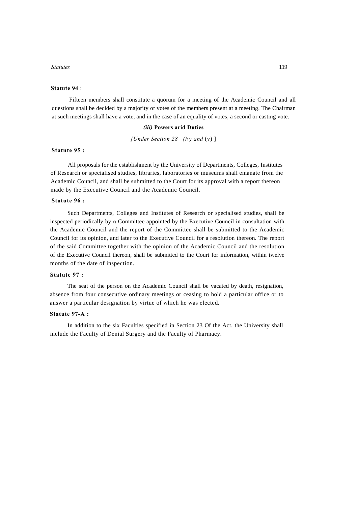#### **Statute 94** :

Fifteen members shall constitute a quorum for a meeting of the Academic Council and all questions shall be decided by a majority of votes of the members present at a meeting. The Chairman at such meetings shall have a vote, and in the case of an equality of votes, a second or casting vote.

#### *(iii)* **Powers arid Duties**

*[Under Section 28 (iv) and* (v) ]

#### **Statute 95 :**

All proposals for the establishment by the University of Departments, Colleges, Institutes of Research or specialised studies, libraries, laboratories or museums shall emanate from the Academic Council, and shall be submitted to the Court for its approval with a report thereon made by the Executive Council and the Academic Council.

# **Statute 96 :**

Such Departments, Colleges and Institutes of Research or specialised studies, shall be inspected periodically by **a** Committee appointed by the Executive Council in consultation with the Academic Council and the report of the Committee shall be submitted to the Academic Council for its opinion, and later to the Executive Council for a resolution thereon. The report of the said Committee together with the opinion of the Academic Council and the resolution of the Executive Council thereon, shall be submitted to the Court for information, within twelve months of the date of inspection.

#### **Statute 97 :**

The seat of the person on the Academic Council shall be vacated by death, resignation, absence from four consecutive ordinary meetings or ceasing to hold a particular office or to answer a particular designation by virtue of which he was elected.

# **Statute 97-A :**

In addition to the six Faculties specified in Section 23 Of the Act, the University shall include the Faculty of Denial Surgery and the Faculty of Pharmacy.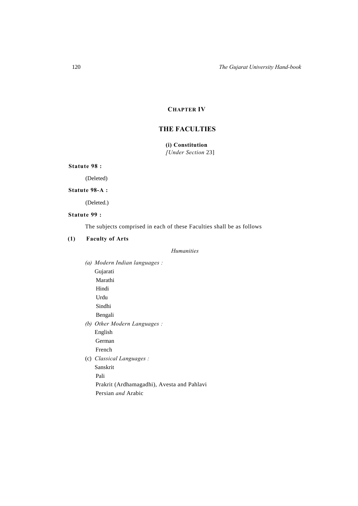# **CHAPTER IV**

# **THE FACULTIES**

# **(i) Constitution**  *[Under Section* 23]

**Statute 98 :** 

(Deleted)

# **Statute 98-A :**

(Deleted.)

# **Statute 99 :**

The subjects comprised in each of these Faculties shall be as follows

# **(1) Faculty of Arts**

# *Humanities*

|     | (a) Modern Indian languages :              |
|-----|--------------------------------------------|
|     | Gujarati                                   |
|     | Marathi                                    |
|     | Hindi                                      |
|     | Urdu                                       |
|     | Sindhi                                     |
|     | Bengali                                    |
| (b) | Other Modern Languages :                   |
|     | English                                    |
|     | German                                     |
|     | French                                     |
|     | (c) Classical Languages :                  |
|     | Sanskrit                                   |
|     | Pali                                       |
|     | Prakrit (Ardhamagadhi), Avesta and Pahlavi |
|     | Persian <i>and</i> Arabic                  |
|     |                                            |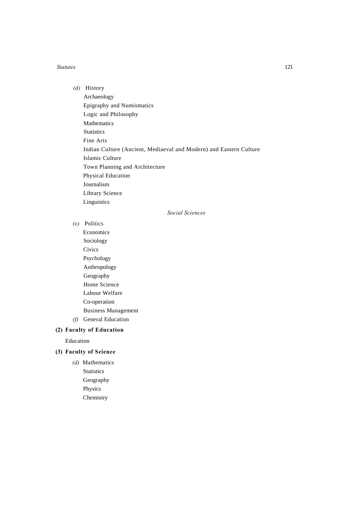*(d)* History Archaeology Epigraphy and Numismatics Logic and Philosophy Mathematics **Statistics** Fine Arts Indian Culture (Ancient, Mediaeval and Modern) and Eastern Culture Islamic Culture Town Planning and Architecture Physical Education Journalism Library Science Linguistics

*Social Sciences*

*(e)* Politics

Economics Sociology **Civics** Psychology Anthropology Geography Home Science Labour Welfare Co-operation Business Management *(f)* General Education

# **(2) Faculty of Education**

Education

# **(3) Faculty of Science**

*(d)* Mathematics **Statistics** Geography Physics Chemistry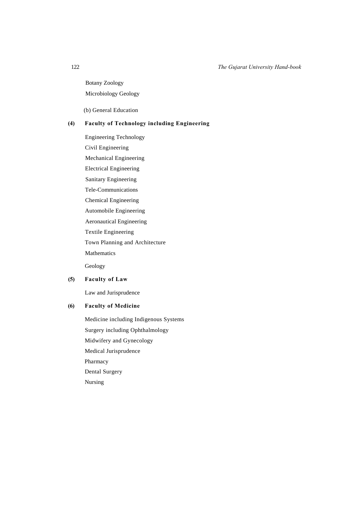Botany Zoology Microbiology Geology

(b) General Education

# **(4) Faculty of Technology including Engineering**

Engineering Technology Civil Engineering Mechanical Engineering Electrical Engineering Sanitary Engineering Tele-Communications Chemical Engineering Automobile Engineering Aeronautical Engineering Textile Engineering Town Planning and Architecture Mathematics

Geology

# **(5) Faculty of Law**

Law and Jurisprudence

# **(6) Faculty of Medicine**

Medicine including Indigenous Systems Surgery including Ophthalmology Midwifery and Gynecology Medical Jurisprudence Pharmacy Dental Surgery Nursing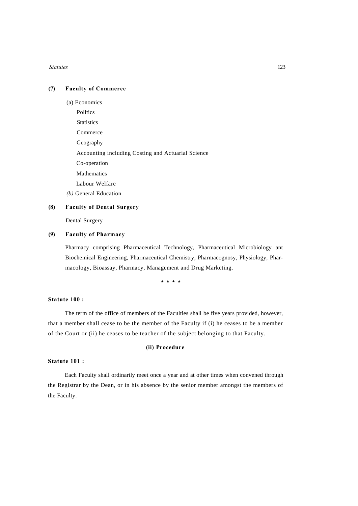# **(7) Faculty of Commerce**

- (a) Economics
	- **Politics**
	- **Statistics**

Commerce

Geography

Accounting including Costing and Actuarial Science

Co-operation

Mathematics

Labour Welfare

*(b)* General Education

#### **(8) Faculty of Dental Surgery**

Dental Surgery

# **(9) Faculty of Pharmacy**

Pharmacy comprising Pharmaceutical Technology, Pharmaceutical Microbiology ant Biochemical Engineering, Pharmaceutical Chemistry, Pharmacognosy, Physiology, Pharmacology, Bioassay, Pharmacy, Management and Drug Marketing.

**\* \* \* \***

# **Statute 100 :**

The term of the office of members of the Faculties shall be five years provided, however, that a member shall cease to be the member of the Faculty if (i) he ceases to be a member of the Court or (ii) he ceases to be teacher of the subject belonging to that Faculty.

#### **(ii) Procedure**

#### **Statute 101 :**

Each Faculty shall ordinarily meet once a year and at other times when convened through the Registrar by the Dean, or in his absence by the senior member amongst the members of the Faculty.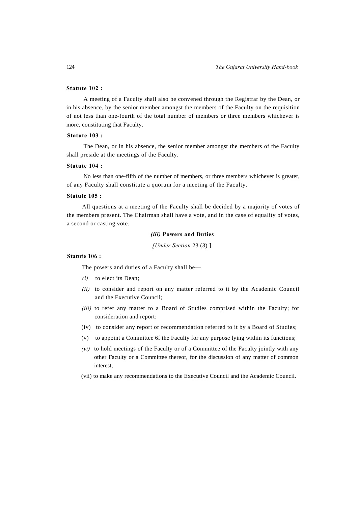# **Statute 102 :**

A meeting of a Faculty shall also be convened through the Registrar by the Dean, or in his absence, by the senior member amongst the members of the Faculty on the requisition of not less than one-fourth of the total number of members or three members whichever is more, constituting that Faculty.

# **Statute 103 :**

The Dean, or in his absence, the senior member amongst the members of the Faculty shall preside at the meetings of the Faculty.

#### **Statute 104 :**

No less than one-fifth of the number of members, or three members whichever is greater, of any Faculty shall constitute a quorum for a meeting of the Faculty.

# **Statute 105 :**

All questions at a meeting of the Faculty shall be decided by a majority of votes of the members present. The Chairman shall have a vote, and in the case of equality of votes, a second or casting vote.

# *(iii)* **Powers and Duties**

*[Under Section* 23 (3) ]

#### **Statute 106 :**

The powers and duties of a Faculty shall be—

- *(i)* to elect its Dean;
- *(ii)* to consider and report on any matter referred to it by the Academic Council and the Executive Council;
- *(iii)* to refer any matter to a Board of Studies comprised within the Faculty; for consideration and report:
- (iv) to consider any report or recommendation referred to it by a Board of Studies;
- (v) to appoint a Committee 6f the Faculty for any purpose lying within its functions;
- *(vi)* to hold meetings of the Faculty or of a Committee of the Faculty jointly with any other Faculty or a Committee thereof, for the discussion of any matter of common interest;
- (vii) to make any recommendations to the Executive Council and the Academic Council.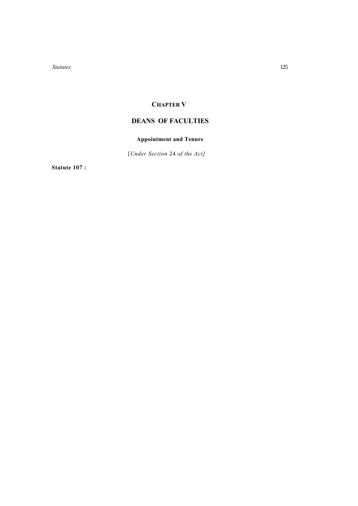# **CHAPTER V**

# **DEANS OF FACULTIES**

# **Appointment and Tenure**

[*Under Section* 24 *of the Act]* 

**Statute 107 :**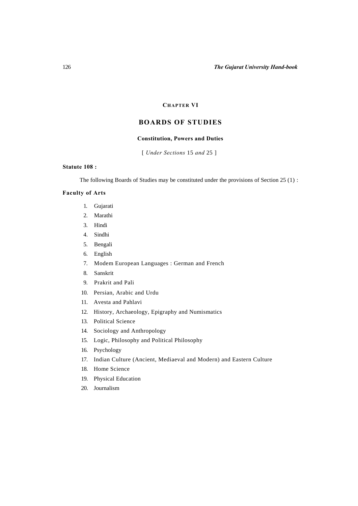# **CHAPTER VI**

# **BOARDS OF STUDIES**

# **Constitution, Powers and Duties**

[ *Under Sections* 15 *and* 25 ]

### **Statute 108 :**

The following Boards of Studies may be constituted under the provisions of Section 25 (1) :

# **Faculty of Arts**

- 1. Gujarati
- 2. Marathi
- 3. Hindi
- 4. Sindhi
- 5. Bengali
- 6. English
- 7. Modem European Languages : German and French
- 8. Sanskrit
- 9. Prakrit and Pali
- 10. Persian, Arabic and Urdu
- 11. Avesta and Pahlavi
- 12. History, Archaeology, Epigraphy and Numismatics
- 13. Political Science
- 14. Sociology and Anthropology
- 15. Logic, Philosophy and Political Philosophy
- 16. Psychology
- 17. Indian Culture (Ancient, Mediaeval and Modern) and Eastern Culture
- 18. Home Science
- 19. Physical Education
- 20. Journalism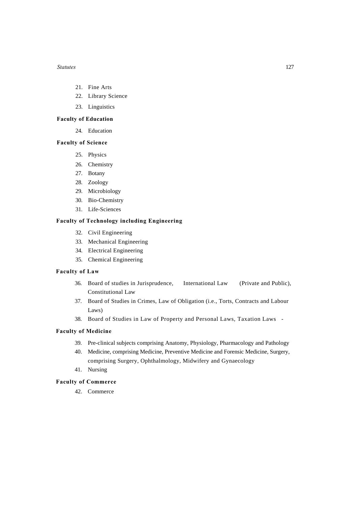- 21. Fine Arts
- 22. Library Science
- 23. Linguistics

### **Faculty of Education**

24. Education

# **Faculty of Science**

- 25. Physics
- 26. Chemistry
- 27. Botany
- 28. Zoology
- 29. Microbiology
- 30. Bio-Chemistry
- 31. Life-Sciences

# **Faculty of Technology including Engineering**

- 32. Civil Engineering
- 33. Mechanical Engineering
- 34. Electrical Engineering
- 35. Chemical Engineering

### **Faculty of Law**

- 36. Board of studies in Jurisprudence, International Law (Private and Public), Constitutional Law
- 37. Board of Studies in Crimes, Law of Obligation (i.e., Torts, Contracts and Labour Laws)
- 38. Board of Studies in Law of Property and Personal Laws, Taxation Laws -

# **Faculty of Medicine**

- 39. Pre-clinical subjects comprising Anatomy, Physiology, Pharmacology and Pathology
- 40. Medicine, comprising Medicine, Preventive Medicine and Forensic Medicine, Surgery, comprising Surgery, Ophthalmology, Midwifery and Gynaecology
- 41. Nursing

## **Faculty of Commerce**

42. Commerce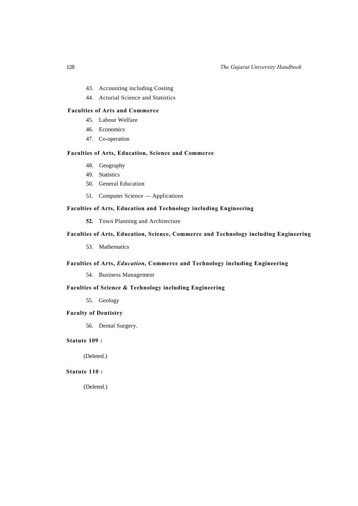- 43. Accounting including Costing
- 44. Acturial Science and Statistics

# **Faculties of Arts and Commerce**

- 45. Labour Welfare
- 46. Economics
- 47. Co-operation

### **Faculties of Arts, Education, Science and Commerce**

- 48. Geography
- 49. Statistics
- 50. General Education
- 51. Computer Science Applications

# **Faculties of Arts, Education and Technology including Engineering**

**52.** Town Planning and Architecture

# **Faculties of Arts, Education, Science, Commerce and Technology including Engineering**

53. Mathematics

## **Faculties of Arts,** *Education,* **Commerce and Technology including Engineering**

54. Business Management

# **Faculties of Science & Technology including Engineering**

55. Geology

# **Faculty of Dentistry**

56. Dental Surgery.

# **Statute 109 :**

(Deleted.)

# **Statute 110 :**

(Deleted.)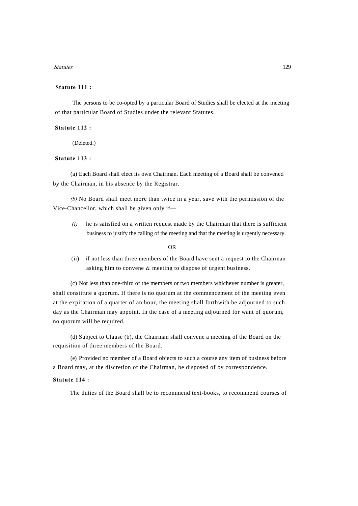#### **Statute 111 :**

The persons to be co-opted by a particular Board of Studies shall be elected at the meeting of that particular Board of Studies under the relevant Statutes.

## **Statute 112 :**

(Deleted.)

#### **Statute 113 :**

(a) Each Board shall elect its own Chairman. Each meeting of a Board shall be convened by the Chairman, in his absence by the Registrar.

*(b)* No Board shall meet more than twice in a year, save with the permission of the Vice-Chancellor, which shall be given only if—

*(i)* he is satisfied on a written request made by the Chairman that there is sufficient business to justify the calling of the meeting and that the meeting is urgently necessary.

#### OR

(ii) if not less than three members of the Board have sent a request to the Chairman asking him to convene *&* meeting to dispose of urgent business.

(c) Not less than one-third of the members or two members whichever number is greater, shall constitute a quorum. If there is no quorum at the commencement of the meeting even at the expiration of a quarter of an hour, the meeting shall forthwith be adjourned to such day as the Chairman may appoint. In the case of a meeting adjourned for want of quorum, no quorum will be required.

(d) Subject to Clause (b), the Chairman shall convene a meeting of the Board on the requisition of three members of the Board.

(e) Provided no member of a Board objects to such a course any item of business before a Board may, at the discretion of the Chairman, be disposed of by correspondence.

# **Statute 114 :**

The duties of the Board shall be to recommend text-books, to recommend courses of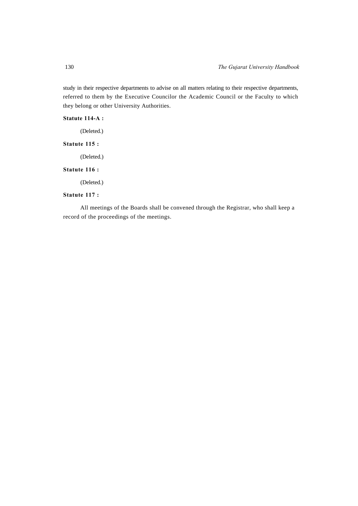study in their respective departments to advise on all matters relating to their respective departments, referred to them by the Executive Councilor the Academic Council or the Faculty to which they belong or other University Authorities.

# **Statute 114-A :**

(Deleted.)

# **Statute 115 :**

(Deleted.)

# **Statute 116 :**

(Deleted.)

# **Statute 117 :**

All meetings of the Boards shall be convened through the Registrar, who shall keep a record of the proceedings of the meetings.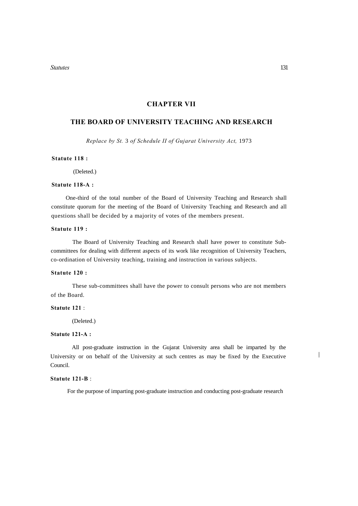# **CHAPTER VII**

# **THE BOARD OF UNIVERSITY TEACHING AND RESEARCH**

*Replace by St.* 3 *of Schedule II of Gujarat University Act,* 1973

#### **Statute 118 :**

(Deleted.)

### **Statute 118-A :**

One-third of the total number of the Board of University Teaching and Research shall constitute quorum for the meeting of the Board of University Teaching and Research and all questions shall be decided by a majority of votes of the members present.

# **Statute 119 :**

The Board of University Teaching and Research shall have power to constitute Subcommittees for dealing with different aspects of its work like recognition of University Teachers, co-ordination of University teaching, training and instruction in various subjects.

# **Statute 120 :**

These sub-committees shall have the power to consult persons who are not members of the Board.

# **Statute 121** :

(Deleted.)

# **Statute 121-A :**

All post-graduate instruction in the Gujarat University area shall be imparted by the University or on behalf of the University at such centres as may be fixed by the Executive Council.

# **Statute 121-B** :

For the purpose of imparting post-graduate instruction and conducting post-graduate research

 $\overline{\phantom{a}}$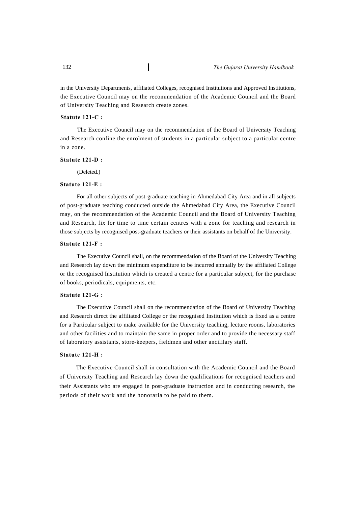in the University Departments, affiliated Colleges, recognised Institutions and Approved Institutions, the Executive Council may on the recommendation of the Academic Council and the Board of University Teaching and Research create zones.

#### **Statute 121-C :**

The Executive Council may on the recommendation of the Board of University Teaching and Research confine the enrolment of students in a particular subject to a particular centre in a zone.

#### **Statute 121-D :**

(Deleted.)

#### **Statute 121-E :**

For all other subjects of post-graduate teaching in Ahmedabad City Area and in all subjects of post-graduate teaching conducted outside the Ahmedabad City Area, the Executive Council may, on the recommendation of the Academic Council and the Board of University Teaching and Research, fix for time to time certain centres with a zone for teaching and research in those subjects by recognised post-graduate teachers or their assistants on behalf of the University.

#### **Statute 121-F :**

The Executive Council shall, on the recommendation of the Board of the University Teaching and Research lay down the minimum expenditure to be incurred annually by the affiliated College or the recognised Institution which is created a centre for a particular subject, for the purchase of books, periodicals, equipments, etc.

#### **Statute 121-G :**

The Executive Council shall on the recommendation of the Board of University Teaching and Research direct the affiliated College or the recognised Institution which is fixed as a centre for a Particular subject to make available for the University teaching, lecture rooms, laboratories and other facilities and to maintain the same in proper order and to provide the necessary staff of laboratory assistants, store-keepers, fieldmen and other ancililary staff.

#### **Statute 121-H :**

The Executive Council shall in consultation with the Academic Council and the Board of University Teaching and Research lay down the qualifications for recognised teachers and their Assistants who are engaged in post-graduate instruction and in conducting research, the periods of their work and the honoraria to be paid to them.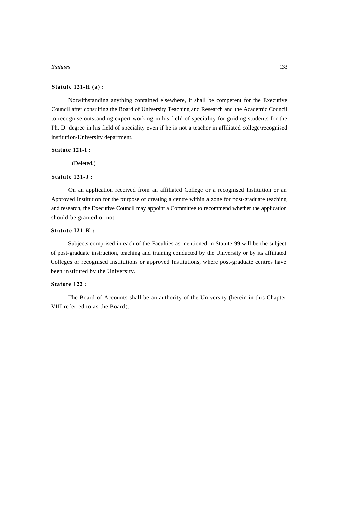# **Statute 121-H (a) :**

Notwithstanding anything contained elsewhere, it shall be competent for the Executive Council after consulting the Board of University Teaching and Research and the Academic Council to recognise outstanding expert working in his field of speciality for guiding students for the Ph. D. degree in his field of speciality even if he is not a teacher in affiliated college/recognised institution/University department.

# **Statute 121-I :**

(Deleted.)

# **Statute 121-J :**

On an application received from an affiliated College or a recognised Institution or an Approved Institution for the purpose of creating a centre within a zone for post-graduate teaching and research, the Executive Council may appoint a Committee to recommend whether the application should be granted or not.

### **Statute I21-K :**

Subjects comprised in each of the Faculties as mentioned in Statute 99 will be the subject of post-graduate instruction, teaching and training conducted by the University or by its affiliated Colleges or recognised Institutions or approved Institutions, where post-graduate centres have been instituted by the University.

# **Statute 122 :**

The Board of Accounts shall be an authority of the University (herein in this Chapter VIII referred to as the Board).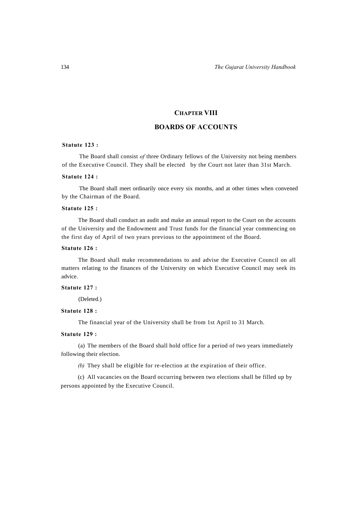# **CHAPTER VIII**

# **BOARDS OF ACCOUNTS**

### **Statute 123 :**

The Board shall consist *of* three Ordinary fellows of the University not being members of the Executive Council. They shall be elected by the Court not later than 31st March.

#### **Statute 124 :**

The Board shall meet ordinarily once every six months, and at other times when convened by the Chairman of the Board.

# **Statute 125 :**

The Board shall conduct an audit and make an annual report to the Court on the accounts of the University and the Endowment and Trust funds for the financial year commencing on the first day of April of two years previous to the appointment of the Board.

# **Statute 126 :**

The Board shall make recommendations to and advise the Executive Council on all matters relating to the finances of the University on which Executive Council may seek its advice.

# **Statute 127 :**

(Deleted.)

# **Statute 128 :**

The financial year of the University shall be from 1st April to 31 March.

#### **Statute 129 :**

(a) The members of the Board shall hold office for a period of two years immediately following their election.

*(b)* They shall be eligible for re-election at the expiration of their office.

(c) All vacancies on the Board occurring between two elections shall be filled up by persons appointed by the Executive Council.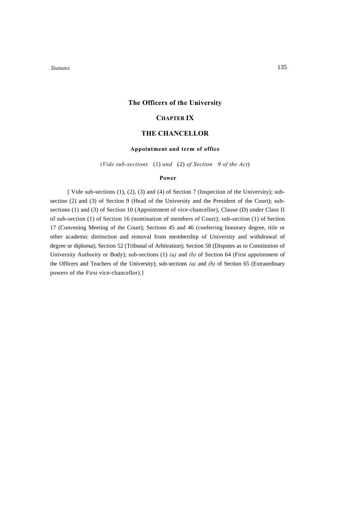# **The Officers of the University**

# **CHAPTER IX**

# **THE CHANCELLOR**

# **Appointment and term of office**

*(Vide sub-sections* (1) *and* (2) *of Section 9 of the Act*)

## **Power**

[ Vide sub-sections (1), (2), (3) and (4) of Section 7 (Inspection of the University); subsection (2) and (3) of Section 9 (Head of the University and the President of the Court); subsections (1) and (3) of Section 10 (Appointment of vice-chancellor), Clause (D) under Class II of sub-section (1) of Section 16 (nomination of members of Court); sub-section (1) of Section 17 (Convening Meeting of the Court); Sections 45 and 46 (conferring honorary degree, title or other academic distinction and removal from membership of University and withdrawal of degree or diploma); Section 52 (Tribunal of Arbitration); Section 58 (Disputes as to Constitution of University Authority or Body); sub-sections (1) *(a)* and *(b)* of Section 64 (First appointment of the Officers and Teachers of the University); sub-sections *(a)* and *(b)* of Section 65 (Extraordinary powers of the First vice-chancellor).]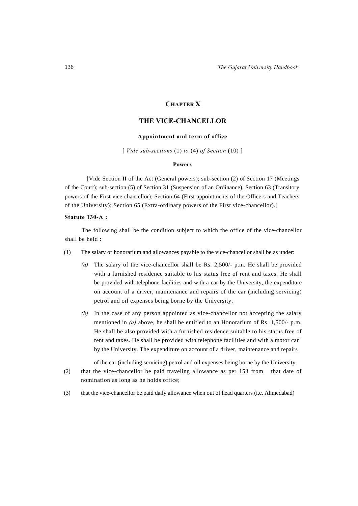# **CHAPTER X**

# **THE VICE-CHANCELLOR**

# **Appointment and term of office**

[ *Vide sub-sections* (1) *to* (4) *of Section* (10) ]

#### **Powers**

[Vide Section II of the Act (General powers); sub-section (2) of Section 17 (Meetings of the Court); sub-section (5) of Section 31 (Suspension of an Ordinance), Section 63 (Transitory powers of the First vice-chancellor); Section 64 (First appointments of the Officers and Teachers of the University); Section 65 (Extra-ordinary powers of the First vice-chancellor).]

#### **Statute 130-A :**

The following shall be the condition subject to which the office of the vice-chancellor shall be held :

- (1) The salary or honorarium and allowances payable to the vice-chancellor shall be as under:
	- *(a)* The salary of the vice-chancellor shall be Rs. 2,500/- p.m. He shall be provided with a furnished residence suitable to his status free of rent and taxes. He shall be provided with telephone facilities and with a car by the University, the expenditure on account of a driver, maintenance and repairs of the car (including servicing) petrol and oil expenses being borne by the University.
	- *(b)* In the case of any person appointed as vice-chancellor not accepting the salary mentioned in *(a)* above, he shall be entitled to an Honorarium of Rs. 1,500/- p.m. He shall be also provided with a furnished residence suitable to his status free of rent and taxes. He shall be provided with telephone facilities and with a motor car ' by the University. The expenditure on account of a driver, maintenance and repairs

of the car (including servicing) petrol and oil expenses being borne by the University.

- (2) that the vice-chancellor be paid traveling allowance as per 153 from that date of nomination as long as he holds office;
- (3) that the vice-chancellor be paid daily allowance when out of head quarters (i.e. Ahmedabad)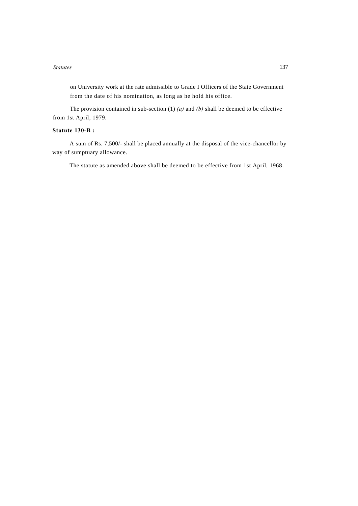on University work at the rate admissible to Grade I Officers of the State Government from the date of his nomination, as long as he hold his office.

The provision contained in sub-section (1) *(a)* and *(b)* shall be deemed to be effective from 1st April, 1979.

# **Statute 130-B :**

A sum of Rs. 7,500/- shall be placed annually at the disposal of the vice-chancellor by way of sumptuary allowance.

The statute as amended above shall be deemed to be effective from 1st April, 1968.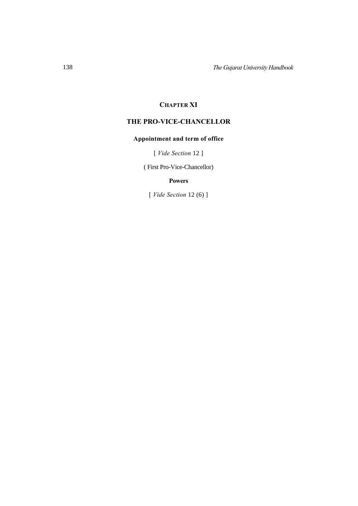# **CHAPTER XI**

# **THE PRO-VICE-CHANCELLOR**

# **Appointment and term of office**

[ *Vide Section* 12 ]

( First Pro-Vice-Chancellor)

# **Powers**

[ *Vide Section* 12 (6) ]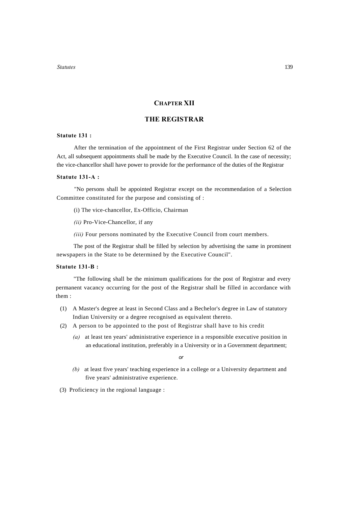# **CHAPTER XII**

# **THE REGISTRAR**

# **Statute 131 :**

After the termination of the appointment of the First Registrar under Section 62 of the Act, all subsequent appointments shall be made by the Executive Council. In the case of necessity; the vice-chancellor shall have power to provide for the performance of the duties of the Registrar

#### **Statute 131-A :**

"No persons shall be appointed Registrar except on the recommendation of a Selection Committee constituted for the purpose and consisting of :

- (i) The vice-chancellor, Ex-Officio, Chairman
- *(ii)* Pro-Vice-Chancellor, if any
- *(iii)* Four persons nominated by the Executive Council from court members.

The post of the Registrar shall be filled by selection by advertising the same in prominent newspapers in the State to be determined by the Executive Council".

### **Statute 131-B :**

"The following shall be the minimum qualifications for the post of Registrar and every permanent vacancy occurring for the post of the Registrar shall be filled in accordance with them :

- (1) A Master's degree at least in Second Class and a Bechelor's degree in Law of statutory Indian University or a degree recognised as equivalent thereto.
- (2) A person to be appointed to the post of Registrar shall have to his credit
	- *(a)* at least ten years' administrative experience in a responsible executive position in an educational institution, preferably in a University or in a Government department;

*or*

*(b)* at least five years' teaching experience in a college or a University department and five years' administrative experience.

(3) Proficiency in the regional language :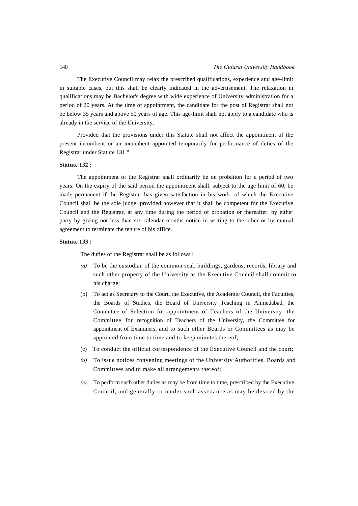The Executive Council may relax the prescribed qualifications, experience and age-limit in suitable cases, but this shall be clearly indicated in the advertisement. The relaxation in qualifications may be Bachelor's degree with wide experience of University administration for a period of 20 years. At the time of appointment, the candidate for the post of Registrar shall not be below 35 years and above 50 years of age. This age-limit shall not apply to a candidate who is already in the service of the University.

Provided that the provisions under this Statute shall not affect the appointment of the present incumbent or an incumbent appointed temporarily for performance of duties of the Registrar under Statute 131."

#### **Statute 132 :**

The appointment of the Registrar shall ordinarily be on probation for a period of two years. On the expiry of the said period the appointment shall, subject to the age limit of 60, be made permanent if the Registrar has given satisfaction in his work, of which the Executive Council shall be the sole judge, provided however that it shall be competent for the Executive Council and the Registrar, at any time during the period of probation or thereafter, by either party by giving not less than six calendar months notice in writing to the other or by mutual agreement to terminate the tenure of his office.

## **Statute 133 :**

The duties of the Registrar shall be as follows :

- *(a)* To be the custodian of the common seal, buildings, gardens, records, library and such other property of the University as the Executive Council shall commit to his charge;
- (b) To act as Secretary to the Court, the Executive, the Academic Council, the Faculties, the Boards of Studies, the Board of University Teaching in Ahmedabad, the Committee of Selection for appointment of Teachers of the University, the Committee for recognition of Teachers of the University, the Committee for appointment of Examiners, and to such other Boards or Committees as may be appointed from time to time and to keep minutes thereof;
- (c) To conduct the official correspondence of the Executive Council and the court;
- *(d)* To issue notices convening meetings of the University Authorities, Boards and Committees and to make all arrangements thereof;
- *(e)* To perform such other duties as may be from time to time, prescribed by the Executive Council, and generally to render such assistance as may be desired by the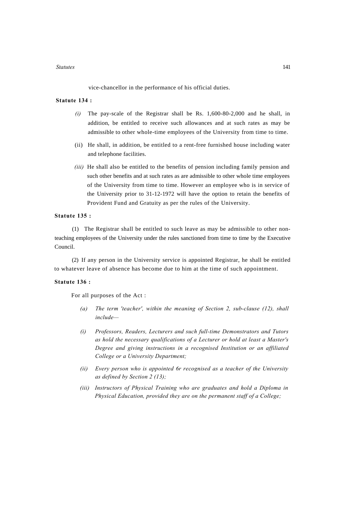vice-chancellor in the performance of his official duties.

# **Statute 134 :**

- *(i)* The pay-scale of the Registrar shall be Rs. 1,600-80-2,000 and he shall, in addition, be entitled to receive such allowances and at such rates as may be admissible to other whole-time employees of the University from time to time.
- (ii) He shall, in addition, be entitled to a rent-free furnished house including water and telephone facilities.
- *(iii)* He shall also be entitled to the benefits of pension including family pension and such other benefits and at such rates as are admissible to other whole time employees of the University from time to time. However an employee who is in service of the University prior to 31-12-1972 will have the option to retain the benefits of Provident Fund and Gratuity as per the rules of the University.

### **Statute 135 :**

(1) The Registrar shall be entitled to such leave as may be admissible to other nonteaching employees of the University under the rules sanctioned from time to time by the Executive Council.

(2) If any person in the University service is appointed Registrar, he shall be entitled to whatever leave of absence has become due to him at the time of such appointment.

### **Statute 136 :**

For all purposes of the Act :

- *(a) The term 'teacher', within the meaning of Section 2, sub-clause (12), shall include—*
- *(i) Professors, Readers, Lecturers and such full-time Demonstrators and Tutors as hold the necessary qualifications of a Lecturer or hold at least a Master's Degree and giving instructions in a recognised Institution or an affiliated College or a University Department;*
- *(ii) Every person who is appointed 6r recognised as a teacher of the University as defined by Section 2 (13);*
- *(iii) Instructors of Physical Training who are graduates and hold a Diploma in Physical Education, provided they are on the permanent staff of a College;*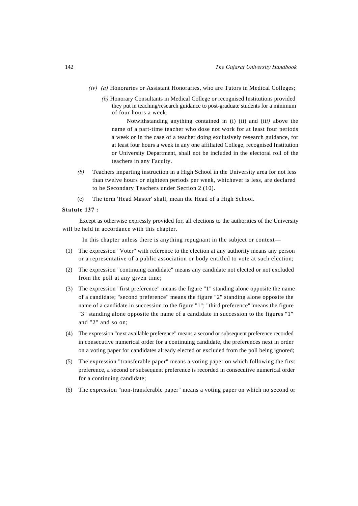- *(iv) (a)* Honoraries or Assistant Honoraries, who are Tutors in Medical Colleges;
	- *(b)* Honorary Consultants in Medical College or recognised Institutions provided they put in teaching/research guidance to post-graduate students for a minimum of four hours a week.

Notwithstanding anything contained in (i) (ii) and (ii*i)* above the name of a part-time teacher who dose not work for at least four periods a week or in the case of a teacher doing exclusively research guidance, for at least four hours a week in any one affiliated College, recognised Institution or University Department, shall not be included in the electoral roll of the teachers in any Faculty.

- *(b)* Teachers imparting instruction in a High School in the University area for not less than twelve hours or eighteen periods per week, whichever is less, are declared to be Secondary Teachers under Section 2 (10).
- (c) The term 'Head Master' shall, mean the Head of a High School.

## **Statute 137 :**

Except as otherwise expressly provided for, all elections to the authorities of the University will be held in accordance with this chapter.

In this chapter unless there is anything repugnant in the subject or context—

- (1) The expression "Voter" with reference to the election at any authority means any person or a representative of a public association or body entitled to vote at such election;
- (2) The expression "continuing candidate" means any candidate not elected or not excluded from the poll at any given time;
- (3) The expression "first preference" means the figure "1" standing alone opposite the name of a candidate; "second preference" means the figure "2" standing alone opposite the name of a candidate in succession to the figure "1"; "third preference""means the figure "3" standing alone opposite the name of a candidate in succession to the figures "1" and "2" and so on;
- (4) The expression "next available preference" means a second or subsequent preference recorded in consecutive numerical order for a continuing candidate, the preferences next in order on a voting paper for candidates already elected or excluded from the poll being ignored;
- (5) The expression "transferable paper" means a voting paper on which following the first preference, a second or subsequent preference is recorded in consecutive numerical order for a continuing candidate;
- (6) The expression "non-transferable paper" means a voting paper on which no second or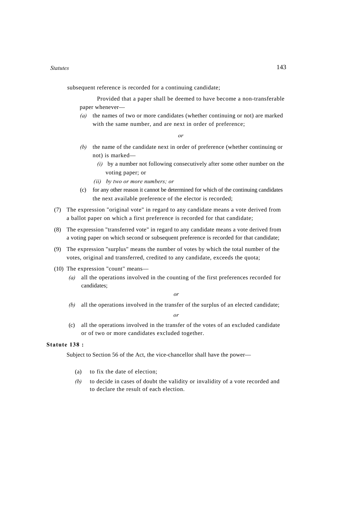subsequent reference is recorded for a continuing candidate;

Provided that a paper shall be deemed to have become a non-transferable paper whenever—

*(a)* the names of two or more candidates (whether continuing or not) are marked with the same number, and are next in order of preference;

*or*

- *(b)* the name of the candidate next in order of preference (whether continuing or not) is marked—
	- *(i)* by a number not following consecutively after some other number on the voting paper; or
	- *(ii) by two or more numbers; or*
- (c) for any other reason it cannot be determined for which of the continuing candidates the next available preference of the elector is recorded;
- (7) The expression "original vote" in regard to any candidate means a vote derived from a ballot paper on which a first preference is recorded for that candidate;
- (8) The expression "transferred vote" in regard to any candidate means a vote derived from a voting paper on which second or subsequent preference is recorded for that candidate;
- (9) The expression "surplus" means the number of votes by which the total number of the votes, original and transferred, credited to any candidate, exceeds the quota;
- (10) The expression "count" means—
	- *(a)* all the operations involved in the counting of the first preferences recorded for candidates;

*or*

*(b)* all the operations involved in the transfer of the surplus of an elected candidate;

*or*

(c) all the operations involved in the transfer of the votes of an excluded candidate or of two or more candidates excluded together.

# **Statute 138 :**

Subject to Section 56 of the Act, the vice-chancellor shall have the power—

- (a) to fix the date of election;
- *(b)* to decide in cases of doubt the validity or invalidity of a vote recorded and to declare the result of each election.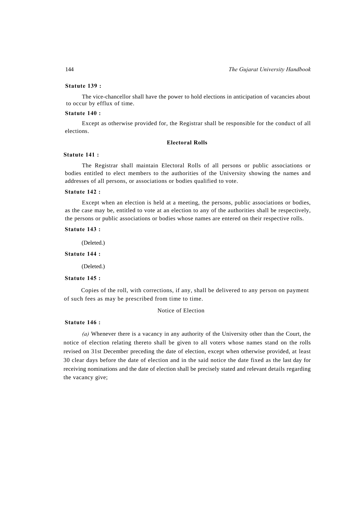# **Statute 139 :**

The vice-chancellor shall have the power to hold elections in anticipation of vacancies about to occur by efflux of time.

### **Statute 140 :**

Except as otherwise provided for, the Registrar shall be responsible for the conduct of all elections.

## **Electoral Rolls**

#### **Statute 141 :**

The Registrar shall maintain Electoral Rolls of all persons or public associations or bodies entitled to elect members to the authorities of the University showing the names and addresses of all persons, or associations or bodies qualified to vote.

### **Statute 142 :**

Except when an election is held at a meeting, the persons, public associations or bodies, as the case may be, entitled to vote at an election to any of the authorities shall be respectively, the persons or public associations or bodies whose names are entered on their respective rolls.

#### **Statute 143 :**

(Deleted.)

### **Statute 144 :**

(Deleted.)

#### **Statute 145 :**

Copies of the roll, with corrections, if any, shall be delivered to any person on payment of such fees as may be prescribed from time to time.

## Notice of Election

### **Statute 146 :**

 *(a)* Whenever there is a vacancy in any authority of the University other than the Court, the notice of election relating thereto shall be given to all voters whose names stand on the rolls revised on 31st December preceding the date of election, except when otherwise provided, at least 30 clear days before the date of election and in the said notice the date fixed as the last day for receiving nominations and the date of election shall be precisely stated and relevant details regarding the vacancy give;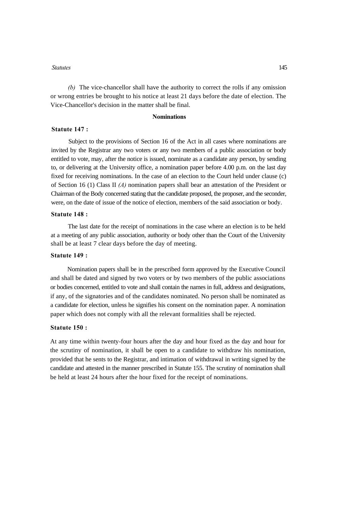*(b)* The vice-chancellor shall have the authority to correct the rolls if any omission or wrong entries be brought to his notice at least 21 days before the date of election. The Vice-Chancellor's decision in the matter shall be final.

# **Nominations**

# **Statute 147 :**

Subject to the provisions of Section 16 of the Act in all cases where nominations are invited by the Registrar any two voters or any two members of a public association or body entitled to vote, may, after the notice is issued, nominate as a candidate any person, by sending to, or delivering at the University office, a nomination paper before 4.00 p.m. on the last day fixed for receiving nominations. In the case of an election to the Court held under clause (c) of Section 16 (1) Class II *(A)* nomination papers shall bear an attestation of the President or Chairman of the Body concerned stating that the candidate proposed, the proposer, and the seconder, were, on the date of issue of the notice of election, members of the said association or body.

### **Statute 148 :**

The last date for the receipt of nominations in the case where an election is to be held at a meeting of any public association, authority or body other than the Court of the University shall be at least 7 clear days before the day of meeting.

# **Statute 149 :**

Nomination papers shall be in the prescribed form approved by the Executive Council and shall be dated and signed by two voters or by two members of the public associations or bodies concerned, entitled to vote and shall contain the names in full, address and designations, if any, of the signatories and of the candidates nominated. No person shall be nominated as a candidate for election, unless he signifies his consent on the nomination paper. A nomination paper which does not comply with all the relevant formalities shall be rejected.

# **Statute 150 :**

At any time within twenty-four hours after the day and hour fixed as the day and hour for the scrutiny of nomination, it shall be open to a candidate to withdraw his nomination, provided that he sents to the Registrar, and intimation of withdrawal in writing signed by the candidate and attested in the manner prescribed in Statute 155. The scrutiny of nomination shall be held at least 24 hours after the hour fixed for the receipt of nominations.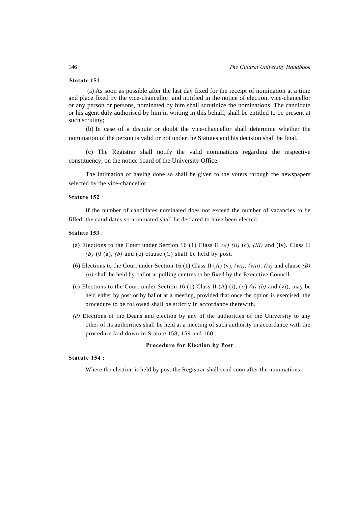#### **Statute 151** :

 (a) As soon as possible after the last day fixed for the receipt of nomination at a time and place fixed by the vice-chancellor, and notified in the notice of election, vice-chancellor or any person or persons, nominated by him shall scrutinize the nominations. The candidate or his agent duly authorised by him in writing in this behalf, shall be entitled to be present at such scrutiny;

(b) In case of a dispute or doubt the vice-chancellor shall determine whether the nomination of the person is valid or not under the Statutes and his decision shall be final.

(c) The Registrar shall notify the valid nominations regarding the respective constituency, on the notice board of the University Office.

The intimation of having done so shall be given to the voters through the newspapers selected by the vice-chancellor.

#### **Statute 152** :

If the number of candidates nominated does not exceed the number of vacancies to be filled, the candidates so nominated shall be declared to have been elected.

# **Statute 153** :

- (a) Elections to the Court under Section 16 (1) Class II *(A) (ii)* (c), *(iii)* and (iv). Class II *(B)* (0 (a), *(b)* and (c) clause (C) shall be held by post.
- (6) Elections to the Court under Section 16 (1) Class II (A) (v), *(vii), (viii), (ix)* and clause *(B) (ii)* shall be held by ballot at polling centres to be fixed by the Executive Council.
- (c) Elections to the Court under Section 16 (1) Class II (A) (i), (*ii*) *(a) (b)* and (vi), may be held either by post or by ballot at a meeting, provided that once the option is exercised, the procedure to be followed shall be strictly in accordance therewith.
- *(d)* Elections of the Deans and election by any of the authorities of the University to any other of its authorities shall be held at a meeting of such authority in accordance with the procedure laid down in Statute 158, 159 and 160.,

#### **Procedure for Election by Post**

# **Statute 154 :**

Where the election is held by post the Registrar shall send soon after the nominations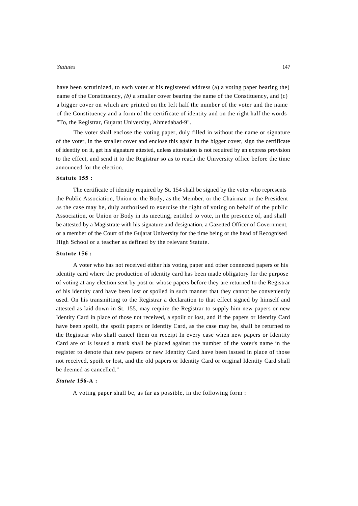have been scrutinized, to each voter at his registered address (a) a voting paper bearing the) name of the Constituency, *(b)* a smaller cover bearing the name of the Constituency, and (c) a bigger cover on which are printed on the left half the number of the voter and the name of the Constituency and a form of the certificate of identity and on the right half the words "To, the Registrar, Gujarat University, Ahmedabad-9".

The voter shall enclose the voting paper, duly filled in without the name or signature of the voter, in the smaller cover and enclose this again in the bigger cover, sign the certificate of identity on it, get his signature attested, unless attestation is not required by an express provision to the effect, and send it to the Registrar so as to reach the University office before the time announced for the election.

### **Statute 155 :**

The certificate of identity required by St. 154 shall be signed by the voter who represents the Public Association, Union or the Body, as the Member, or the Chairman or the President as the case may be, duly authorised to exercise the right of voting on behalf of the public Association, or Union or Body in its meeting, entitled to vote, in the presence of, and shall be attested by a Magistrate with his signature and designation, a Gazetted Officer of Government, or a member of the Court of the Gujarat University for the time being or the head of Recognised High School or a teacher as defined by the relevant Statute.

### **Statute 156 :**

A voter who has not received either his voting paper and other connected papers or his identity card where the production of identity card has been made obligatory for the purpose of voting at any election sent by post or whose papers before they are returned to the Registrar of his identity card have been lost or spoiled in such manner that they cannot be conveniently used. On his transmitting to the Registrar a declaration to that effect signed by himself and attested as laid down in St. 155, may require the Registrar to supply him new-papers or new Identity Card in place of those not received, a spoilt or lost, and if the papers or Identity Card have been spoilt, the spoilt papers or Identity Card, as the case may be, shall be returned to the Registrar who shall cancel them on receipt In every case when new papers or Identity Card are or is issued a mark shall be placed against the number of the voter's name in the register to denote that new papers or new Identity Card have been issued in place of those not received, spoilt or lost, and the old papers or Identity Card or original Identity Card shall be deemed as cancelled."

#### *Statute* **156-A :**

A voting paper shall be, as far as possible, in the following form :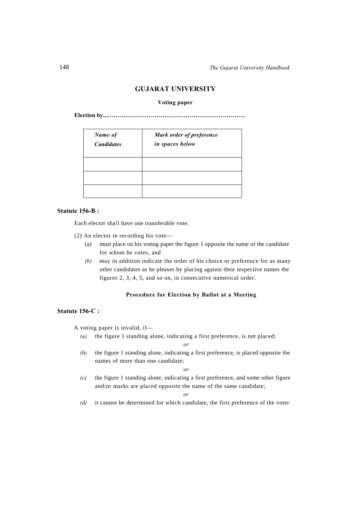# **GUJARAT UNIVERSITY**

## **Voting paper**

**Election by....…………………………………………………………….** 

| Name of<br><b>Candidates</b> | Mark order of preference<br>in spaces below |
|------------------------------|---------------------------------------------|
|                              |                                             |
|                              |                                             |
|                              |                                             |

# **Statute 156-B :**

Each elector sha!l have one transferable vote.

- (2) An elector in recording his vote—
	- (a) must place on his voting paper the figure 1 opposite the name of the candidate for whom he votes, and
	- *(b)* may in addition indicate the order of his choice or preference for as many other candidates as he pleases by placing against their respective names the figures 2, 3, 4, 5, and so on, in consecutive numerical order.

# **Procedure for Election by Ballot at a Meeting**

# **Statute 156-C :**

- A voting paper is invalid, if—
	- *(a)* the figure 1 standing alone, indicating a first preference, is not placed;

*or*

*(b)* the figure 1 standing alone, indicating a first preference, is placed opposite the names of more than one candidate;

*or*

*(c)* the figure 1 standing alone, indicating a first preference, and some other figure and/or marks are placed opposite the name of the same candidate;

#### *or*

*(d)* it cannot be determined for which candidate, the first preference of the voter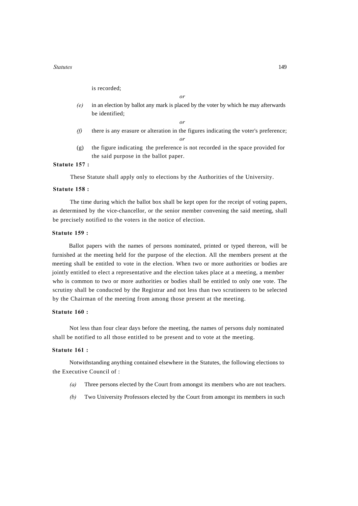is recorded;

*(e)* in an election by ballot any mark is placed by the voter by which he may afterwards be identified;

*or*

- *(f)* there is any erasure or alteration in the figures indicating the voter's preference; *or*
- (g) the figure indicating the preference is not recorded in the space provided for the said purpose in the ballot paper.

# **Statute 157 :**

These Statute shall apply only to elections by the Authorities of the University.

# **Statute 158 :**

The time during which the ballot box shall be kept open for the receipt of voting papers, as determined by the vice-chancellor, or the senior member convening the said meeting, shall be precisely notified to the voters in the notice of election.

# **Statute 159 :**

Ballot papers with the names of persons nominated, printed or typed thereon, will be furnished at the meeting held for the purpose of the election. All the members present at the meeting shall be entitled to vote in the election. When two or more authorities or bodies are jointly entitled to elect a representative and the election takes place at a meeting, a member who is common to two or more authorities or bodies shall be entitled to only one vote. The scrutiny shall be conducted by the Registrar and not less than two scrutineers to be selected by the Chairman of the meeting from among those present at the meeting.

### **Statute 160 :**

Not less than four clear days before the meeting, the names of persons duly nominated shall be notified to all those entitled to be present and to vote at the meeting.

#### **Statute 161 :**

Notwithstanding anything contained elsewhere in the Statutes, the following elections to the Executive Council of :

- *(a)* Three persons elected by the Court from amongst its members who are not teachers.
- *(b)* Two University Professors elected by the Court from amongst its members in such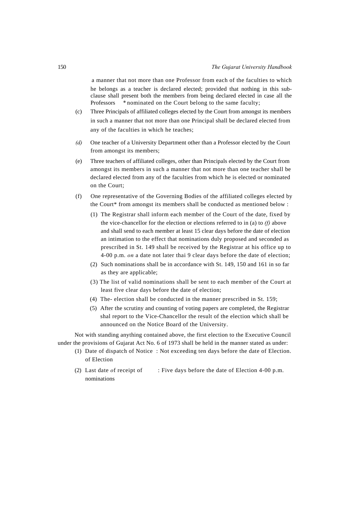a manner that not more than one Professor from each of the faculties to which he belongs as a teacher is declared elected; provided that nothing in this subclause shall present both the members from being declared elected in case all the Professors *\** nominated on the Court belong to the same faculty;

- (c) Three Principals of affiliated colleges elected by the Court from amongst its members in such a manner that not more than one Principal shall be declared elected from any of the faculties in which he teaches;
- *(d)* One teacher of a University Department other than a Professor elected by the Court from amongst its members;
- (e) Three teachers of affiliated colleges, other than Principals elected by the Court from amongst its members in such a manner that not more than one teacher shall be declared elected from any of the faculties from which he is elected or nominated on the Court;
- (f) One representative of the Governing Bodies of the affiliated colleges elected by the Court\* from amongst its members shall be conducted as mentioned below :
	- (1) The Registrar shall inform each member of the Court of the date, fixed by the vice-chancellor for the election or elections referred to in (a) to *(f)* above and shall send to each member at least 15 clear days before the date of election an intimation to the effect that nominations duly proposed and seconded as prescribed in St. 149 shall be received by the Registrar at his office up to 4-00 p.m. *on* a date not later thai 9 clear days before the date of election;
	- (2) Such nominations shall be in accordance with St. 149, 150 and 161 in so far as they are applicable;
	- (3) The list of valid nominations shall be sent to each member of the Court at least five clear days before the date of election;
	- (4) The- election shall be conducted in the manner prescribed in St. 159;
	- (5) After the scrutiny and counting of voting papers are completed, the Registrar shal report to the Vice-Chancellor the result of the election which shall be announced on the Notice Board of the University.

Not with standing anything contained above, the first election to the Executive Council under the provisions of Gujarat Act No. 6 of 1973 shall be held in the manner stated as under:

- (1) Date of dispatch of Notice : Not exceeding ten days before the date of Election. of Election
- (2) Last date *o*f receipt of : Five days before the date of Election 4-00 p.m. nominations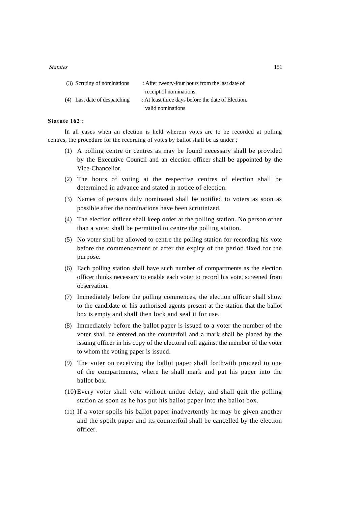| (3) Scrutiny of nominations  | : After twenty-four hours from the last date of    |
|------------------------------|----------------------------------------------------|
|                              | receipt of nominations.                            |
| (4) Last date of despatching | : At least three days before the date of Election. |
|                              | valid nominations                                  |

# **Statute 162 :**

In all cases when an election is held wherein votes are to be recorded at polling centres, the procedure for the recording of votes by ballot shall be as under :

- (1) A polling centre or centres as may be found necessary shall be provided by the Executive Council and an election officer shall be appointed by the Vice-Chancellor.
- (2) The hours of voting at the respective centres of election shall be determined in advance and stated in notice of election.
- (3) Names of persons duly nominated shall be notified to voters as soon as possible after the nominations have been scrutinized.
- (4) The election officer shall keep order at the polling station. No person other than a voter shall be permitted to centre the polling station.
- (5) No voter shall be allowed to centre the polling station for recording his vote before the commencement or after the expiry of the period fixed for the purpose.
- (6) Each polling station shall have such number of compartments as the election officer thinks necessary to enable each voter to record his vote, screened from observation.
- (7) Immediately before the polling commences, the election officer shall show to the candidate or his authorised agents present at the station that the ballot box is empty and shall then lock and seal it for use.
- (8) Immediately before the ballot paper is issued to a voter the number of the voter shall be entered on the counterfoil and a mark shall be placed by the issuing officer in his copy of the electoral roll against the member of the voter to whom the voting paper is issued.
- (9) The voter on receiving the ballot paper shall forthwith proceed to one of the compartments, where he shall mark and put his paper into the ballot box.
- (10) Every voter shall vote without undue delay, and shall quit the polling station as soon as he has put his ballot paper into the ballot box.
- (11) If a voter spoils his ballot paper inadvertently he may be given another and the spoilt paper and its counterfoil shall be cancelled by the election officer.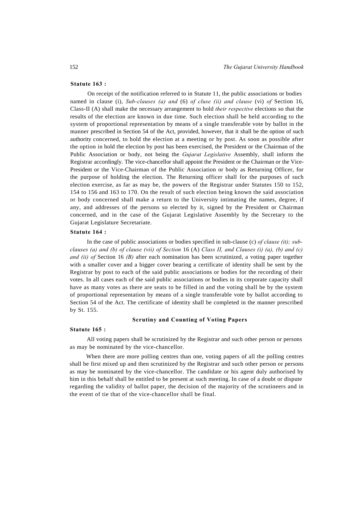#### **Statute 163 :**

On receipt of the notification referred to in Statute 11, the public associations or bodies named in clause (i), *Sub-clauses (a) and* (6) *of cluse (ii) and clause* (vi) *of* Section 16, Class-II (A) shall make the necessary arrangement to hold *their respective* elections so that the results of the election are known in due time. Such election shall be held according to the system of proportional representation by means of a single transferable vote by ballot in the manner prescribed in Section 54 of the Act, provided, however, that it shall be the option of such authority concerned, to hold the election at a meeting or by post. As soon as possible after the option in hold the election by post has been exercised, the President or the Chairman of the Public Association or body, not being the *Gujarat Legislative* Assembly, shall inform the Registrar accordingly. The vice-chancellor shall appoint the President or the Chairman or the Vice-President or the Vice-Chairman of the Public Association or body as Returning Officer, for the purpose of holding the election. The Returning officer shall for the purposes of such election exercise, as far as may be, the powers of the Registrar under Statutes 150 to 152, 154 to 156 and 163 to 170. On the result of such election being known the said association or body concerned shall make a return to the University intimating the names, degree, if any, and addresses of the persons so elected by it, signed by the President or Chairman concerned, and in the case of the Gujarat Legislative Assembly by the Secretary to the Gujarat Legislature Secretariate.

#### **Statute 164 :**

In the case of public associations or bodies specified in sub-clause (c) *of clause (it); subclauses (a) and (b) of clause (vii) of Section* 16 (A) *Class II, and Clauses (i) (a), (b) and (c) and (ii) of* Section 16 *(B)* after each nomination has been scrutinized, a voting paper together with a smaller cover and a bigger cover bearing a certificate of identity shall be sent by the Registrar by post to each of the said public associations or bodies for the recording of their votes. In all cases each of the said public associations or bodies in its corporate capacity shall have as many votes as there are seats to be filled in and the voting shall be by the system of proportional representation by means of a single transferable vote by ballot according to Section 54 of the Act. The certificate of identity shall be completed in the manner prescribed by St. 155.

#### **Scrutiny and Counting of Voting Papers**

#### **Statute 165 :**

All voting papers shall be scrutinized by the Registrar and such other person or persons as may be nominated by the vice-chancellor.

When there are more polling centres than one, voting papers of all the polling centres shall be first mixed up and then scrutinized by the Registrar and such other person or persons as may be nominated by the vice-chancellor. The candidate or his agent duly authorised by him in this behalf shall be entitled to be present at such meeting. In case of a doubt or dispute regarding the validity of ballot paper, the decision of the majority of the scrutineers and in the event of tie that of the vice-chancellor shall be final.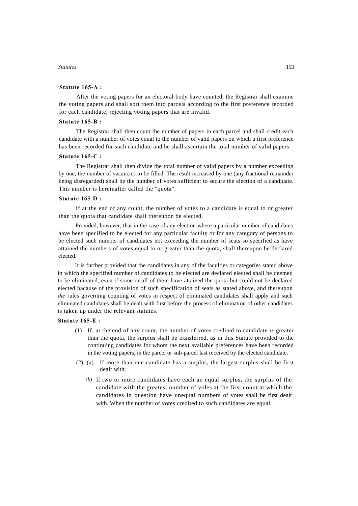#### **Statute 165-A :**

After the voting papers for an electoral body have counted, the Registrar shall examine the voting papers and shall sort them into parcels according to the first preference recorded for each candidate, rejecting voting papers that are invalid.

# **Statute 165-B :**

The Registrar shall then count the number of papers in each parcel and shall credit each candidate with a number of votes equal to the number of valid papers on which a first preference has been recorded for such candidate and he shall ascertain the total number of valid papers.

### **Statute 165-C :**

The Registrar shall then divide the total number of valid papers by a number exceeding by one, the number of vacancies to be filled. The result increased by one (any fractional remainder being disregarded) shall be the number of votes sufficient to secure the election of a candidate. This number is hereinafter called the "quota".

#### **Statute 165-D :**

If at the end of any count, the number of votes to a candidate is equal to or greater than the quota that candidate shall thereupon be elected.

Provided, however, that in the case of any election where a particular number of candidates have been specified to be elected for any particular faculty or for any category of persons to be elected such number of candidates not exceeding the number of seats so specified as have attained the numbers of votes equal to or greater than the quota, shall thereupon be declared elected.

It is further provided that the candidates in any of the faculties or categories stated above in which the specified number of candidates to be elected are declared elected shall be deemed to be eliminated, even if some or all of them have attained the quota but could not be declared elected bacause of the provision of such specification of seats as stated above, and thereupon *the* rules governing counting of votes in respect of eliminated candidates shall apply and such eliminated candidates shall be dealt with first before the process of elimination of other candidates is taken up under the relevant statutes.

## **Statute 165-E :**

- (1) If, at the end of any count, the number of votes credited to candidate *is* greater than the quota, the surplus shall be transferred, as in this Statute provided to the continuing candidates for whom the next available preferences have been recorded in the voting papers, in the parcel or sub-parcel last received by the elected candidate.
- (2) (a) If more than one candidate has a surplus, the largest surplus shall be first dealt with;
	- *(b)* If two or more candidates have each an equal surplus, the surplus of the candidate with the greatest number of voles at the first count at which the candidates in question have unequal numbers of votes shall be first dealt with. When the number of votes credited to such candidates are equal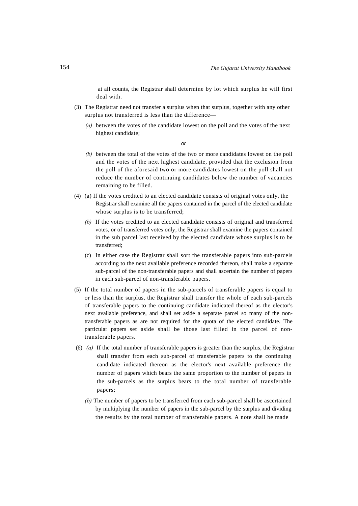at all counts, the Registrar shall determine by lot which surplus he will first deal with.

- (3) The Registrar need not transfer a surplus when that surplus, together with any other surplus not transferred is less than the difference—
	- *(a)* between the votes of the candidate lowest on the poll and the votes of the next highest candidate;

*or*

- *(b)* between the total of the votes of the two or more candidates lowest on the poll and the votes of the next highest candidate, provided that the exclusion from the poll of the aforesaid two or more candidates lowest on the poll shall not reduce the number of continuing candidates below the number of vacancies remaining to be filled.
- (4) (a) If the votes credited to an elected candidate consists of original votes only, the Registrar shall examine all the papers contained in the parcel of the elected candidate whose surplus is to be transferred;
	- *(b)* If the votes credited to an elected candidate consists of original and transferred votes, or of transferred votes only, the Registrar shall examine the papers contained in the sub parcel last received by the elected candidate whose surplus is to be transferred;
	- (c) In either case the Registrar shall sort the transferable papers into sub-parcels according to the next available preference recorded thereon, shall make a separate sub-parcel of the non-transferable papers and shall ascertain the number of papers in each sub-parcel of non-transferable papers.
- (5) If the total number of papers in the sub-parcels of transferable papers is equal to or less than the surplus, the Registrar shall transfer the whole of each sub-parcels of transferable papers to the continuing candidate indicated thereof as the elector's next available preference, and shall set aside a separate parcel so many of the nontransferable papers as are not required for the quota of the elected candidate. The particular papers set aside shall be those last filled in the parcel of nontransferable papers.
- (6) *(a)* If the total number of transferable papers is greater than the surplus, the Registrar shall transfer from each sub-parcel of transferable papers to the continuing candidate indicated thereon as the elector's next available preference the number of papers which bears the same proportion to the number of papers in the sub-parcels as the surplus bears to the total number of transferable papers;
	- *(b)* The number of papers to be transferred from each sub-parcel shall be ascertained by multiplying the number of papers in the sub-parcel by the surplus and dividing the results by the total number of transferable papers. A note shall be made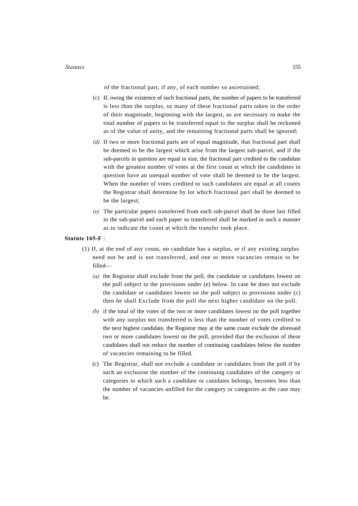of the fractional part, if any, of each number so ascertained;

- (c) If, owing the existence of such fractional parts, the number of papers to be transferred is less than the surplus, so many of these fractional parts taken in the order of their magnitude, beginning with the largest, as are necessary to make the total number of papers to be transferred equal to the surplus shall be reckoned as of the value of unity, and the remaining fractional parts shall be ignored;
- *(d)* If two or more fractional parts are of equal magnitude, that fractional part shall be deemed to be the largest which arise from the largest sub-parcel, and if the sub-parcels in question are equal in size, the fractional part credited to the candidate with the greatest number of votes at the first count at which the candidates in question have an unequal number of vote shall be deemed to be the largest. When the number of votes credited to such candidates are equal at all counts the Registrar shall determine by lot which fractional part shall be deemed to be the largest;
- *(e)* The particular papers transferred from each sub-parcel shall be those last filled in the sub-parcel and each paper so transferred shall be marked in such a manner as to indicate the count at which the transfer took place.

#### **Statute 165-F** :

- (1) If, at the end of any count, no candidate has a surplus, or if any existing surplus need not be and is not transferred, and one or more vacancies remain to be filled—
	- *(a)* the Registrar shall exclude from the poll, the candidate or candidates lowest on the poll subject to the provisions under (e) below. In case he does not exclude the candidate or candidates lowest on the poll subject to provisions under (c) then he shall Exclude from the poll the next higher candidate on the poll.
	- *(b)* if the total of the votes of the two or more candidates lowest on the poll together with any surplus not transferred is less than the number of votes credited to the next highest candidate, the Registrar may at the same count exclude the aforesaid two or more candidates lowest on the poll, provided that the exclusion of these candidates shall not reduce the number of continuing candidates below the number of vacancies remaining to be filled.
	- (c) The Registrar, shall not exclude a candidate or candidates from the poll if by such an exclusion the number of the continuing candidates of the category or categories to which such a candidate or canidates belongs, becomes less than the number of vacancies unfilled for the category or categories as the case may be.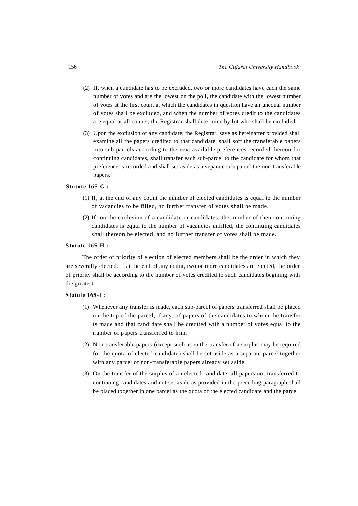- (2) If, when a candidate has to be excluded, two or more candidates have each the same number of votes and are the lowest on the poll, the candidate with the lowest number of votes at the first count at which the candidates in question have an unequal number of votes shall be excluded, and when the number of votes credit to the candidates are equal at all counts, the Registrar shall determine by lot who shall be excluded.
- (3) Upon the exclusion of any candidate, the Registrar, save as hereinafter provided shall examine all the papers credited to that candidate, shall sort the transferable papers into sub-parcels according to the next available preferences recorded thereon for continuing candidates, shall transfer each sub-parcel to the candidate for whom that preference is recorded and shall set aside as a separate sub-parcel the non-transferable papers.

### **Statute 165-G :**

- (1) If, at the end of any count the number of elected candidates is equal to the number of vacancies to be filled, no further transfer of votes shall be made.
- (2) If, on the exclusion of a candidate or candidates, the number of then continuing candidates is equal to the number of vacancies unfilled, the continuing candidates shall thereon be elected, and no further transfer of votes shall be made.

#### **Statute 165-H :**

The order of priority of election of elected members shall be the order in which they are severally elected. If at the end of any count, two or more candidates are elected, the order of priority shall be according to the number of votes credited to such candidates begining with the greatest.

#### **Statute 165-I :**

- (1) Whenever any transfer is made, each sub-parcel of papers transferred shall be placed on the top of the parcel, if any, of papers of the candidates to whom the transfer is made and that candidate shall be credited with a number of votes equal to the number of papers transferred to him.
- (2) Non-transferable papers (except such as in the transfer of a surplus may be required for the quota of elected candidate) shall be set aside as a separate parcel together with any parcel of non-transferable papers already set aside.
- (3) On the transfer of the surplus of an elected candidate, all papers not transferred to continuing candidates and not set aside as provided in the preceding paragraph shall be placed together in one parcel as the quota of the elected candidate and the parcel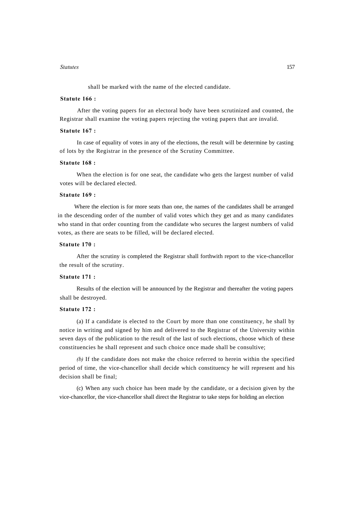shall be marked with the name of the elected candidate.

# **Statute 166 :**

After the voting papers for an electoral body have been scrutinized and counted, the Registrar shall examine the voting papers rejecting the voting papers that are invalid.

# **Statute 167 :**

In case of equality of votes in any of the elections, the result will be determine by casting of lots by the Registrar in the presence of the Scrutiny Committee.

### **Statute 168 :**

When the election is for one seat, the candidate who gets the largest number of valid votes will be declared elected.

# **Statute 169 :**

Where the election is for more seats than one, the names of the candidates shall be arranged in the descending order of the number of valid votes which they get and as many candidates who stand in that order counting from the candidate who secures the largest numbers of valid votes, as there are seats to be filled, will be declared elected.

#### **Statute 170 :**

After the scrutiny is completed the Registrar shall forthwith report to the vice-chancellor the result of the scrutiny.

# **Statute 171 :**

Results of the election will be announced by the Registrar and thereafter the voting papers shall be destroyed.

### **Statute 172 :**

(a) If a candidate is elected to the Court by more than one constituency, he shall by notice in writing and signed by him and delivered to the Registrar of the University within seven days of the publication to the result of the last of such elections, choose which of these constituencies he shall represent and such choice once made shall be consultive;

*(b)* If the candidate does not make the choice referred to herein within the specified period of time, the vice-chancellor shall decide which constituency he will represent and his decision shall be final;

(c) When any such choice has been made by the candidate, or a decision given by the vice-chancellor, the vice-chancellor shall direct the Registrar to take steps for holding an election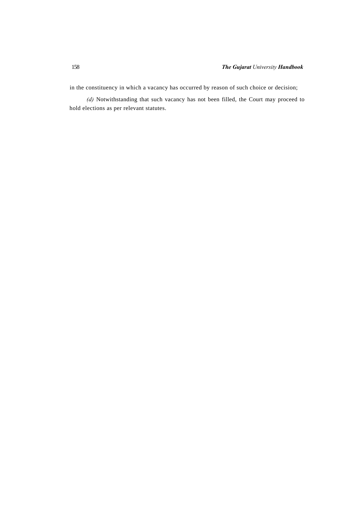in the constituency in which a vacancy has occurred by reason of such choice or decision;

*(d)* Notwithstanding that such vacancy has not been filled, the Court may proceed to hold elections as per relevant statutes.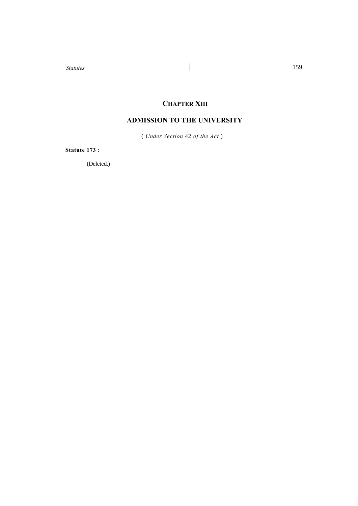# **CHAPTER XIII**

# **ADMISSION TO THE UNIVERSITY**

( *Under Section* 42 *of the Act* )

**Statute 173** :

(Deleted.)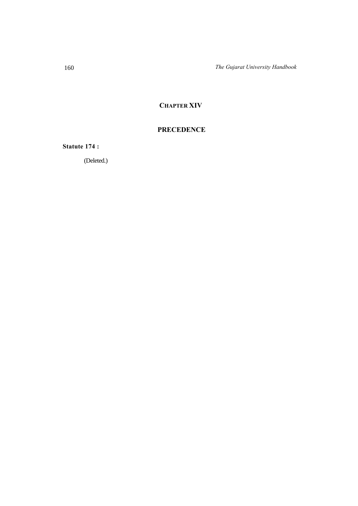# **CHAPTER XIV**

# **PRECEDENCE**

**Statute 174 :**

(Deleted.)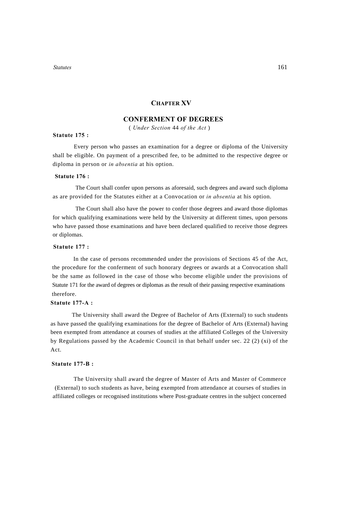## **CHAPTER XV**

## **CONFERMENT OF DEGREES**

( *Under Section* 44 *of the Act* )

#### **Statute 175 :**

Every person who passes an examination for a degree or diploma of the University shall be eligible. On payment of a prescribed fee, to be admitted to the respective degree or diploma in person or *in absentia* at his option.

### **Statute 176 :**

 The Court shall confer upon persons as aforesaid, such degrees and award such diploma as are provided for the Statutes either at a Convocation or *in absentia* at his option.

 The Court shall also have the power to confer those degrees and award those diplomas for which qualifying examinations were held by the University at different times, upon persons who have passed those examinations and have been declared qualified to receive those degrees or diplomas.

## **Statute 177 :**

In the case of persons recommended under the provisions of Sections 45 of the Act, the procedure for the conferment of such honorary degrees or awards at a Convocation shall be the same as followed in the case of those who become eligible under the provisions of Statute 171 for the award of degrees or diplomas as the result of their passing respective examinations therefore.

## **Statute 177-A :**

The University shall award the Degree of Bachelor of Arts (External) to such students as have passed the qualifying examinations for the degree of Bachelor of Arts (External) having been exempted from attendance at courses of studies at the affiliated Colleges of the University by Regulations passed by the Academic Council in that behalf under sec. 22 (2) (xi) of the Act.

#### **Statute 177-B :**

 The University shall award the degree of Master of Arts and Master of Commerce (External) to such students as have, being exempted from attendance at courses of studies in affiliated colleges or recognised institutions where Post-graduate centres in the subject concerned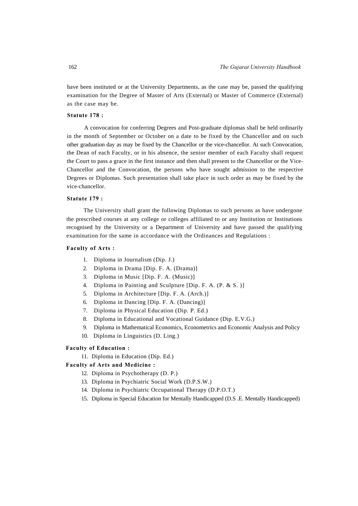have been instituted or at the University Departments, as the case may be, passed the qualifying examination for the Degree of Master of Arts (External) or Master of Commerce (External) as the case may be.

## **Statute 178 :**

A convocation for conferring Degrees and Post-graduate diplomas shall be held ordinarily in the month of September or October on a date to be fixed by the Chancellor and on such other graduation day as may be fixed by the Chancellor or the vice-chancellor. At such Convocation, the Dean of each Faculty, or in his absence, the senior member of each Faculty shall request the Court to pass a grace in the first instance and then shall present to the Chancellor or the Vice-Chancellor and the Convocation, the persons who have sought admission to the respective Degrees or Diplomas. Such presentation shall take place in such order as may be fixed by the vice-chancellor.

#### **Statute 179 :**

The University shall grant the following Diplomas to such persons as have undergone the prescribed courses at any college or colleges affiliated to or any Institution or Institutions recognised by the University or a Department of University and have passed the qualifying examination for the same in accordance with the Ordinances and Regulations :

### **Faculty of Arts :**

- 1. Diploma in Journalism (Dip. J.)
- 2. Diploma in Drama [Dip. F. A. (Drama)]
- 3. Diploma in Music [Dip. F. A. (Music)]
- 4. Diploma in Painting and Sculpture [Dip. F. A. (P. & S. )]
- 5. Diploma in Architecture [Dip. F. A. (Arch.)]
- 6. Diploma in Dancing [Dip. F. A. (Dancing)]
- 7. Diploma in Physical Education (Dip. P. Ed.)
- 8. Diploma in Educational and Vocational Guidance (Dip. E.V.G.)
- 9. Diploma in Mathematical Economics, Econometrics and Economic Analysis and Policy
- 10. Diploma in Linguistics (D. Ling.)

#### **Faculty of Education :**

11. Diploma in Education (Dip. Ed.)

## **Faculty of Arts and Medicine :**

- 12. Diploma in Psychotherapy (D. P.)
- 13. Diploma in Psychiatric Social Work (D.P.S.W.)
- 14. Diploma in Psychiatric Occupational Therapy (D.P.O.T.)
- 15. Diploma in Special Education for Mentally Handicapped (D.S .E. Mentally Handicapped)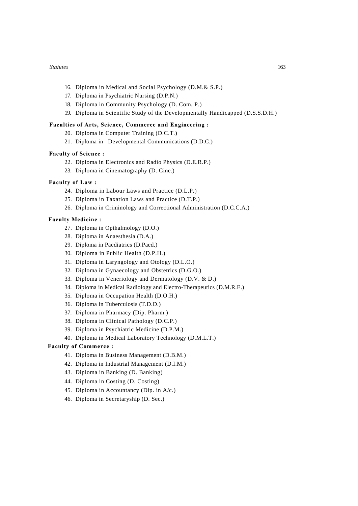- 16. Diploma in Medical and Social Psychology (D.M.& S.P.)
- 17. Diploma in Psychiatric Nursing (D.P.N.)
- 18. Diploma in Community Psychology (D. Com. P.)
- 19. Diploma in Scientific Study of the Developmentally Handicapped (D.S.S.D.H.)

#### **Faculties of Arts, Science, Commerce and Engineering :**

- 20. Diploma in Computer Training (D.C.T.)
- 21. Diploma in Developmental Communications (D.D.C.)

#### **Faculty of Science :**

- 22. Diploma in Electronics and Radio Physics (D.E.R.P.)
- 23. Diploma in Cinematography (D. Cine.)

## **Faculty of Law :**

- 24. Diploma in Labour Laws and Practice (D.L.P.)
- 25. Diploma in Taxation Laws and Practice (D.T.P.)
- 26. Diploma in Criminology and Correctional Administration (D.C.C.A.)

## **Faculty Medicine :**

- 27. Diploma in Opthalmology (D.O.)
- 28. Diploma in Anaesthesia (D.A.)
- 29. Diploma in Paediatrics (D.Paed.)
- 30. Diploma in Public Health (D.P.H.)
- 31. Diploma in Laryngology and Otology (D.L.O.)
- 32. Diploma in Gynaecology and Obstetrics (D.G.O.)
- 33. Diploma in Veneriology and Dermatology (D.V. & D.)
- 34. Diploma in Medical Radiology and Electro-Therapeutics (D.M.R.E.)
- 35. Diploma in Occupation Health (D.O.H.)
- 36. Diploma in Tuberculosis (T.D.D.)
- 37. Diploma in Pharmacy (Dip. Pharm.)
- 38. Diploma in Clinical Pathology (D.C.P.)
- 39. Diploma in Psychiatric Medicine (D.P.M.)
- 40. Diploma in Medical Laboratory Technology (D.M.L.T.)

## **Faculty of Commerce :**

- 41. Diploma in Business Management (D.B.M.)
- 42. Diploma in Industrial Management (D.I.M.)
- 43. Diploma in Banking (D. Banking)
- 44. Diploma in Costing (D. Costing)
- 45. Diploma in Accountancy (Dip. in A/c.)
- 46. Diploma in Secretaryship (D. Sec.)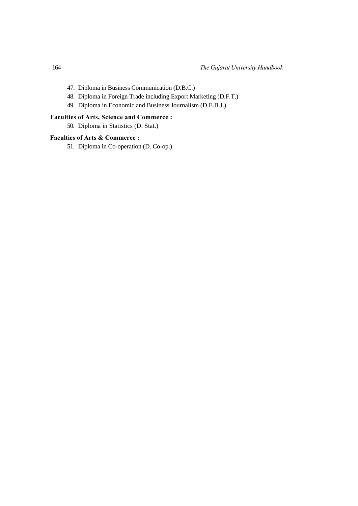- 47. Diploma in Business Communication (D.B.C.)
- 48. Diploma in Foreign Trade including Export Marketing (D.F.T.)
- 49. Diploma in Economic and Business Journalism (D.E.B.J.)

## **Faculties of Arts, Science and Commerce :**

50. Diploma in Statistics (D. Stat.)

## **Faculties of Arts & Commerce :**

51. Diploma in Co-operation (D. Co-op.)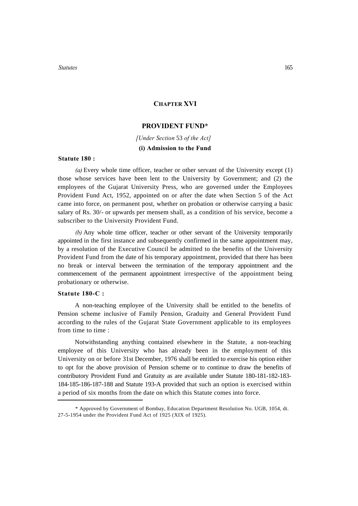## **CHAPTER XVI**

## **PROVIDENT FUND\***

*[Under Section* 53 *of the Act]*  **(i) Admission to the Fund**

#### **Statute 180 :**

*(a)* Every whole time officer, teacher or other servant of the University except (1) those whose services have been lent to the University by Government; and (2) the employees of the Gujarat University Press, who are governed under the Employees Provident Fund Act, 1952, appointed on or after the date when Section 5 of the Act came into force, on permanent post, whether on probation or otherwise carrying a basic salary of Rs. 30/- or upwards per mensem shall, as a condition of his service, become a subscriber to the University Provident Fund.

*(b)* Any whole time officer, teacher or other servant of the University temporarily appointed in the first instance and subsequently confirmed in the same appointment may, by a resolution of the Executive Council be admitted to the benefits of the University Provident Fund from the date of his temporary appointment, provided that there has been no break or interval between the termination of the temporary appointment and the commencement of the permanent appointment irrespective of the appointment being probationary or otherwise.

## **Statute 180-C :**

A non-teaching employee of the University shall be entitled to the benefits of Pension scheme inclusive of Family Pension, Graduity and General Provident Fund according to the rules of the Gujarat State Government applicable to its employees from time to time :

Notwithstanding anything contained elsewhere in the Statute, a non-teaching employee of this University who has already been in the employment of this University on or before 31st December, 1976 shall be entitled to exercise his option either to opt for the above provision of Pension scheme or to continue to draw the benefits of contributory Provident Fund and Gratuity as are available under Statute 180-181-182-183- 184-185-186-187-188 and Statute 193-A provided that such an option is exercised within a period of six months from the date on which this Statute comes into force.

<sup>\*</sup> Approved by Government of Bombay, Education Department Resolution No. UGB, 1054, dt. 27-5-1954 under the Provident Fund Act of 1925 (XIX of 1925).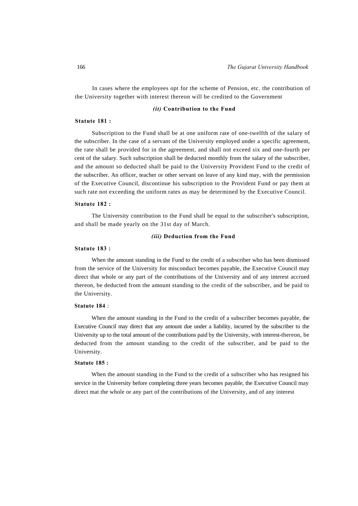In cases where the employees opt for the scheme of Pension, etc. the contribution of the University together with interest thereon will be credited to the Government

#### *(it)* **Contribution to the Fund**

#### **Statute 181 :**

Subscription to the Fund shall be at one uniform rate of one-twelfth of the salary of the subscriber. In the case of a servant of the University employed under a specific agreement, the rate shall be provided for in the agreement, and shall not exceed six and one-fourth per cent of the salary. Such subscription shall be deducted monthly from the salary of the subscriber, and the amount so deducted shall be paid to the University Provident Fund to the credit of the subscriber. An officer, teacher or other servant on leave of any kind may, with the permission of the Executive Council, discontinue his subscription to the Provident Fund or pay them at such rate not exceeding the uniform rates as may be determined by the Executive Council.

#### **Statute 182 :**

The University contribution to the Fund shall be equal to the subscriber's subscription, and shall be made yearly on the 31st day of March.

#### *(iii)* **Deduction from the Fund**

#### **Statute 183 :**

When the amount standing in the Fund to the credit of a subscriber who has been dismissed from the service of the University for misconduct becomes payable, the Executive Council may direct that whole or any part of the contributions of the University and of any interest accrued thereon, be deducted from the amount standing to the credit of the subscriber, and be paid to the University.

### **Statute 184** :

When the amount standing in the Fund to the credit of a subscriber becomes payable, the Executive Council may direct that any amount due under a liability, incurred by the subscriber to the University up to the total amount of the contributions paid by the University, with interest-thereon, be deducted from the amount standing to the credit of the subscriber, and be paid to the University.

#### **Statute 185 :**

When the amount standing in the Fund to the credit of a subscriber who has resigned his service in the University before completing three years becomes payable, the Executive Council may direct mat the whole or any part of the contributions of the University, and of any interest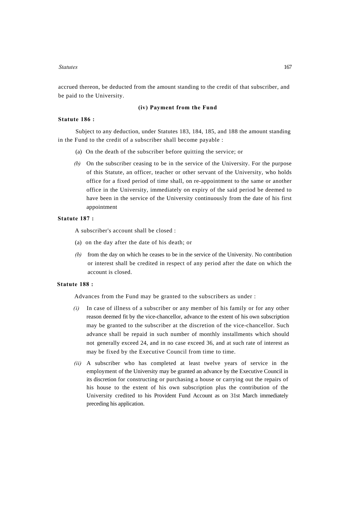accrued thereon, be deducted from the amount standing to the credit of that subscriber, and be paid to the University.

#### **(iv) Payment from the Fund**

#### **Statute 186 :**

Subject to any deduction, under Statutes 183, 184, 185, and 188 the amount standing in the Fund to the credit of a subscriber shall become payable :

- (a) On the death of the subscriber before quitting the service; or
- *(b)* On the subscriber ceasing to be in the service of the University. For the purpose of this Statute, an officer, teacher or other servant of the University, who holds office for a fixed period of time shall, on re-appointment to the same or another office in the University, immediately on expiry of the said period be deemed to have been in the service of the University continuously from the date of his first appointment

#### **Statute 187 :**

A subscriber's account shall be closed :

- (a) on the day after the date of his death; or
- *(b)* from the day on which he ceases to be in the service of the University. No contribution or interest shall be credited in respect of any period after the date on which the account is closed.

#### **Statute 188 :**

Advances from the Fund may be granted to the subscribers as under :

- *(i)* In case of illness of a subscriber or any member of his family or for any other reason deemed fit by the vice-chancellor, advance to the extent of his own subscription may be granted to the subscriber at the discretion of the vice-chancellor. Such advance shall be repaid in such number of monthly installments which should not generally exceed 24, and in no case exceed 36, and at such rate of interest as may be fixed by the Executive Council from time to time.
- *(ii)* A subscriber who has completed at least twelve years of service in the employment of the University may be granted an advance by the Executive Council in its discretion for constructing or purchasing a house or carrying out the repairs of his house to the extent of his own subscription plus the contribution of the University credited to his Provident Fund Account as on 31st March immediately preceding his application.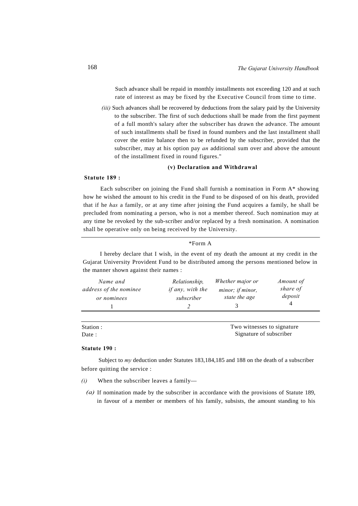Such advance shall be repaid in monthly installments not exceeding 120 and at such rate of interest as may be fixed by the Executive Council from time to time.

*(iii)* Such advances shall be recovered by deductions from the salary paid by the University to the subscriber. The first of such deductions shall be made from the first payment of a full month's salary after the subscriber has drawn the advance. The amount of such installments shall be fixed in found numbers and the last installment shall cover the entire balance then to be refunded by the subscriber, provided that the subscriber, may at his option pay *an* additional sum over and above the amount of the installment fixed in round figures."

## **(v) Declaration and Withdrawal**

#### **Statute 189 :**

Each subscriber on joining the Fund shall furnish a nomination in Form A\* showing how he wished the amount to his credit in the Fund to be disposed of on his death, provided that if he *has* a family, or at any time after joining the Fund acquires a family, he shall be precluded from nominating a person, who is not a member thereof. Such nomination may at any time be revoked by the sub-scriber and/or replaced by a fresh nomination. A nomination shall be operative only on being received by the University.

### \*Form A

I hereby declare that I wish, in the event of my death the amount at my credit in the Gujarat University Provident Fund to be distributed among the persons mentioned below in the manner shown against their names :

| Name and<br>address of the nominee | Relationship,<br><i>if any</i> , <i>with the</i> | Whether major or<br>minor; if minor, | Amount of<br>share of |
|------------------------------------|--------------------------------------------------|--------------------------------------|-----------------------|
| or nominees                        | subscriber                                       | state the age                        | deposit               |
|                                    |                                                  |                                      |                       |

| Station : | Two witnesses to signature |  |
|-----------|----------------------------|--|
| Date:     | Signature of subscriber    |  |

#### **Statute 190 :**

Subject to *my* deduction under Statutes 183,184,185 and 188 on the death of a subscriber before quitting the service :

- *(i)* When the subscriber leaves a family—
	- (a) If nomination made by the subscriber in accordance with the provisions of Statute 189, in favour of a member or members of his family, subsists, the amount standing to his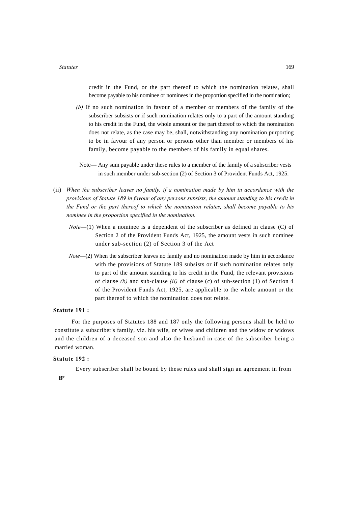credit in the Fund, or the part thereof to which the nomination relates, shall become payable to his nominee or nominees in the proportion specified in the nomination;

- *(b)* If no such nomination in favour of a member or members of the family of the subscriber subsists or if such nomination relates only to a part of the amount standing to his credit in the Fund, the whole amount or the part thereof to which the nomination does not relate, as the case may be, shall, notwithstanding any nomination purporting to be in favour of any person or persons other than member or members of his family, become payable to the members of his family in equal shares.
- Note— Any sum payable under these rules to a member of the family of a subscriber vests in such member under sub-section (2) of Section 3 of Provident Funds Act, 1925.
- (ii) *When the subscriber leaves no family, if a nomination made by him in accordance with the provisions of Statute 189 in favour of any persons subsists, the amount standing to his credit in the Fund or the part thereof to which the nomination relates, shall become payable to his nominee in the proportion specified in the nomination.*
	- *Note*—(1) When a nominee is a dependent of the subscriber as defined in clause (C) of Section 2 of the Provident Funds Act, 1925, the amount vests in such nominee under sub-section (2) of Section 3 of the Act
	- *Note*—(2) When the subscriber leaves no family and no nomination made by him in accordance with the provisions of Statute 189 subsists or if such nomination relates only to part of the amount standing to his credit in the Fund, the relevant provisions of clause *(b)* and sub-clause *(ii)* of clause (c) of sub-section (1) of Section 4 of the Provident Funds Act, 1925, are applicable to the whole amount or the part thereof to which the nomination does not relate.

#### **Statute 191 :**

For the purposes of Statutes 188 and 187 only the following persons shall be held to constitute a subscriber's family, viz. his wife, or wives and children and the widow or widows and the children of a deceased son and also the husband in case of the subscriber being a married woman.

#### **Statute 192 :**

Every subscriber shall be bound by these rules and shall sign an agreement in from

**B\***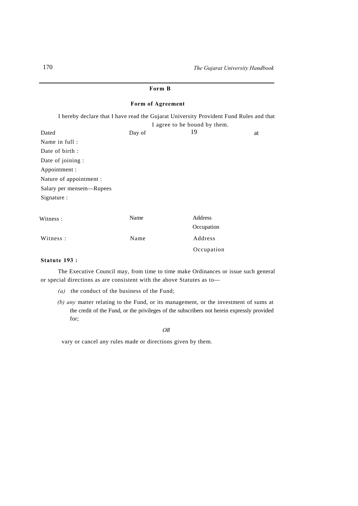| Form B                                                                                                                 |        |            |    |  |  |
|------------------------------------------------------------------------------------------------------------------------|--------|------------|----|--|--|
| Form of Agreement                                                                                                      |        |            |    |  |  |
| I hereby declare that I have read the Gujarat University Provident Fund Rules and that<br>I agree to be bound by them. |        |            |    |  |  |
| Dated                                                                                                                  | Day of | 19         | at |  |  |
| Name in full:                                                                                                          |        |            |    |  |  |
| Date of birth:                                                                                                         |        |            |    |  |  |
| Date of joining :                                                                                                      |        |            |    |  |  |
| Appointment :                                                                                                          |        |            |    |  |  |
| Nature of appointment :                                                                                                |        |            |    |  |  |
| Salary per mensem—Rupees                                                                                               |        |            |    |  |  |
| Signature:                                                                                                             |        |            |    |  |  |
| Witness:                                                                                                               | Name   | Address    |    |  |  |
|                                                                                                                        |        | Occupation |    |  |  |
| Witness:                                                                                                               | Name   | Address    |    |  |  |
|                                                                                                                        |        | Occupation |    |  |  |

## **Statute 193 :**

The Executive Council may, from time to time make Ordinances or issue such general or special directions as are consistent with the above Statutes as to—

- *(a)* the conduct of the business of the Fund;
- *(b) any* matter relating to the Fund, or its management, or the investment of sums at the credit of the Fund, or the privileges of the subscribers not herein expressly provided for;

#### *OR*

vary or cancel any rules made or directions given by them.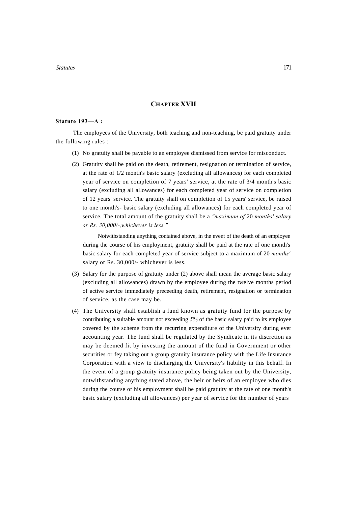## **CHAPTER XVII**

#### **Statute 193—A :**

The employees of the University, both teaching and non-teaching, be paid gratuity under the following rules :

- (1) No gratuity shall be payable to an employee dismissed from service for misconduct.
- (2) Gratuity shall be paid on the death, retirement, resignation or termination of service, at the rate of 1/2 month's basic salary (excluding all allowances) for each completed year of service on completion of 7 years' service, at the rate of 3/4 month's basic salary (excluding all allowances) for each completed year of service on completion of 12 years' service. The gratuity shall on completion of 15 years' service, be raised to one month's- basic salary (excluding all allowances) for each completed year of service. The total amount of the gratuity shall be a *"maximum of* 20 *months' salary or Rs. 30,000/-,whichever is less."*

Notwithstanding anything contained above, in the event of the death of an employee during the course of his employment, gratuity shall be paid at the rate of one month's basic salary for each completed year of service subject to a maximum of 20 *months'*  salary or Rs. 30,000/- whichever is less.

- (3) Salary for the purpose of gratuity under (2) above shall mean the average basic salary (excluding all allowances) drawn by the employee during the twelve months period of active service immediately preceeding death, retirement, resignation or termination of service, as the case may be.
- (4) The University shall establish a fund known as gratuity fund for the purpose by contributing a suitable amount not exceeding *5%* of the basic salary paid to its employee covered by the scheme from the recurring expenditure of the University during ever accounting year. The fund shall be regulated by the Syndicate in its discretion as may be deemed fit by investing the amount of the fund in Government or other securities or fey taking out a group gratuity insurance policy with the Life Insurance Corporation with a view to discharging the University's liability in this behalf. In the event of a group gratuity insurance policy being taken out by the University, notwithstanding anything stated above, the heir or heirs of an employee who dies during the course of his employment shall be paid gratuity at the rate of one month's basic salary (excluding all allowances) per year of service for the number of years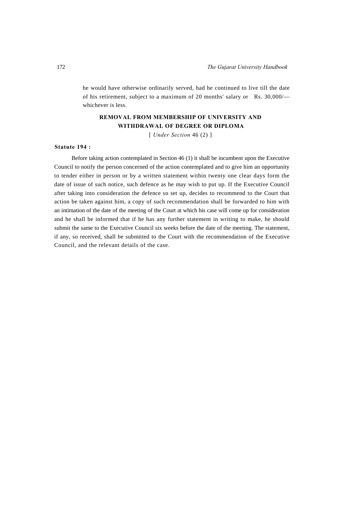he would have otherwise ordinarily served, had he continued to live till the date of his retirement, subject to a maximum of 20 months' salary or Rs. 30,000/ whichever is less.

## **REMOVAL FROM MEMBERSHIP OF UNIVERSITY AND WITHDRAWAL OF DEGREE OR DIPLOMA**

[ *Under Section* 46 (2) ]

#### **Statute 194 :**

Before taking action contemplated in Section 46 (1) it shall be incumbent upon the Executive Council to notify the person concerned of the action contemplated and to give him an opportunity to tender either in person or by a written statement within twenty one clear days form the date of issue of such notice, such defence as he may wish to put up. If the Executive Council after taking into consideration the defence so set up, decides to recommend to the Court that action be taken against him, a copy of such recommendation shall be forwarded to him with an intimation of the date of the meeting of the Court at which his case will come up for consideration and he shall be informed that if he has any further statement in writing to make, he should submit the same to the Executive Council six weeks before the date of the meeting. The statement, if any, so received, shall be submitted to the Court with the recommendation of the Executive Council, and the relevant details of the case.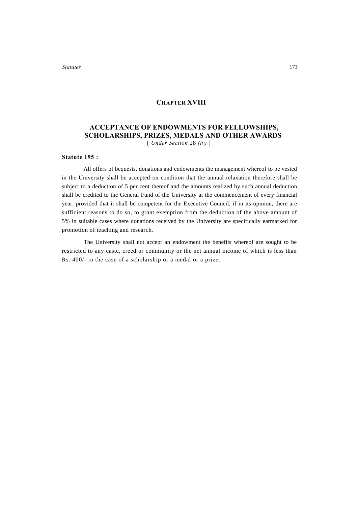## **CHAPTER XVIII**

## **ACCEPTANCE OF ENDOWMENTS FOR FELLOWSHIPS, SCHOLARSHIPS, PRIZES, MEDALS AND OTHER AWARDS** [ *Under Section* 28 *(iv)* ]

#### **Statute 195 :**

All offers of bequests, donations and endowments the management whereof to be vested in the University shall be accepted on condition that the annual relaxation therefore shall be subject to a deduction of 5 per cent thereof and the amounts realized by such annual deduction shall be credited to the General Fund of the University at the commencement of every financial year, provided that it shall be competent for the Executive Council, if in its opinion, there are sufficient reasons to do so, to grant exemption from the deduction of the above amount of 5% in suitable cases where donations received by the University are specifically earmarked for promotion of teaching and research.

The University shall not accept an endowment the benefits whereof are sought to be restricted to any caste, creed or community or the net annual income of which is less than Rs. 400/- in the case of a scholarship or a medal or a prize.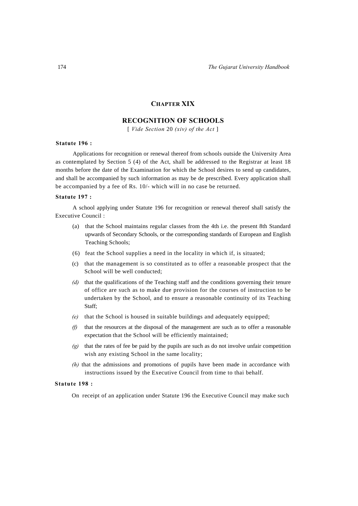## **CHAPTER XIX**

## **RECOGNITION OF SCHOOLS**

[ *Vide Section* 20 *(xiv) of the Act* ]

#### **Statute 196 :**

Applications for recognition or renewal thereof from schools outside the University Area as contemplated by Section 5 (4) of the Act, shall be addressed to the Registrar at least 18 months before the date of the Examination for which the School desires to send up candidates, and shall be accompanied by such information as may be de prescribed. Every application shall be accompanied by a fee of Rs. 10/- which will in no case be returned.

### **Statute 197 :**

A school applying under Statute 196 for recognition or renewal thereof shall satisfy the Executive Council :

- (a) that the School maintains regular classes from the 4th i.e. the present 8th Standard upwards of Secondary Schools, or the corresponding standards of European and English Teaching Schools;
- (6) feat the School supplies a need in the locality in which if, is situated;
- (c) that the management is so constituted as to offer a reasonable prospect that the School will be well conducted;
- *(d)* that the qualifications of the Teaching staff and the conditions governing their tenure of office are such as to make due provision for the courses of instruction to be undertaken by the School, and to ensure a reasonable continuity of its Teaching Staff;
- *(e)* that the School is housed in suitable buildings and adequately equipped;
- *(f)* that the resources at the disposal of the management are such as to offer a reasonable expectation that the School will be efficiently maintained;
- *(g)* that the rates of fee be paid by the pupils are such as do not involve unfair competition wish any existing School in the same locality;
- *(h)* that the admissions and promotions of pupils have been made in accordance with instructions issued by the Executive Council from time to thai behalf.

#### **Statute 198 :**

On receipt of an application under Statute 196 the Executive Council may make such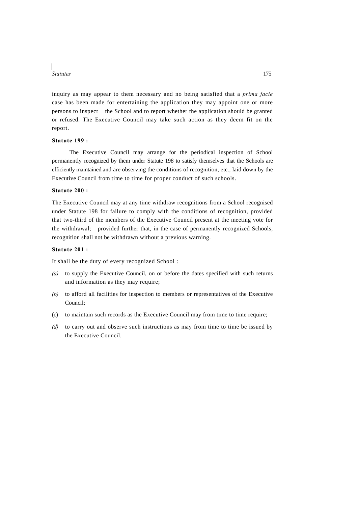inquiry as may appear to them necessary and no being satisfied that a *prima facie*  case has been made for entertaining the application they may appoint one or more persons to inspect the School and to report whether the application should be granted or refused. The Executive Council may take such action as they deem fit on the report.

### **Statute 199 :**

The Executive Council may arrange for the periodical inspection of School permanently recognized by them under Statute 198 to satisfy themselves that the Schools are efficiently maintained and are observing the conditions of recognition, etc., laid down by the Executive Council from time to time for proper conduct of such schools.

#### **Statute 200 :**

The Executive Council may at any time withdraw recognitions from a School recognised under Statute 198 for failure to comply with the conditions of recognition, provided that two-third of the members of the Executive Council present at the meeting vote for the withdrawal; provided further that, in the case of permanently recognized Schools, recognition shall not be withdrawn without a previous warning.

### **Statute 201 :**

It shall be the duty of every recognized School :

- *(a)* to supply the Executive Council, on or before the dates specified with such returns and information as they may require;
- *(b)* to afford all facilities for inspection to members or representatives of the Executive Council;
- (c) to maintain such records as the Executive Council may from time to time require;
- *(d)* to carry out and observe such instructions as may from time to time be issued by the Executive Council.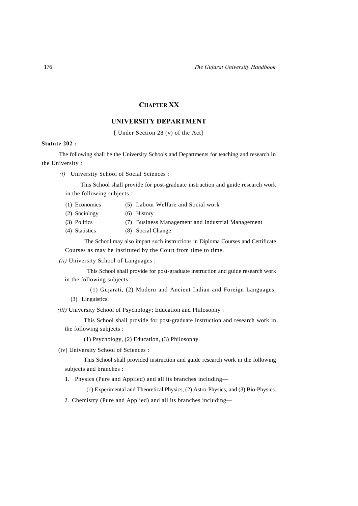## **CHAPTER XX**

## **UNIVERSITY DEPARTMENT**

[ Under Section 28 (v) of the Act]

### **Statute 202 :**

The following shall be the University Schools and Departments for teaching and research in the University :

*(i)* University School of Social Sciences :

This School shall provide for post-graduate instruction and guide research work in the following subjects :

- (1) Economics (5) Labour Welfare and Social work
- (2) Sociology (6) History
- (3) Politics (7) Business Management and Industrial Management
- (4) Statistics (8) Social Change.

The School may also impart such instructions in Diploma Courses and Certificate Courses as may be instituted by the Court from time to time.

*(ii)* University School of Languages :

This School shall provide for post-graduate instruction and guide research work in the following subjects :

(1) Gujarati, (2) Modern and Ancient Indian and Foreign Languages,

(3) Linguistics.

*(iii)* University School of Psychology; Education and Philosophy :

This School shall provide for post-graduate instruction and research work in the following subjects :

(1) Psychology, (2) Education, (3) Philosophy.

(iv) University School of Sciences :

This School shall provided instruction and guide research work in the following subjects and branches :

1. Physics (Pure and Applied) and all its branches including—

(1) Experimental and Theoretical Physics, (2) Astro-Physics, and (3) Bio-Physics.

2. Chemistry (Pure and Applied) and all its branches including—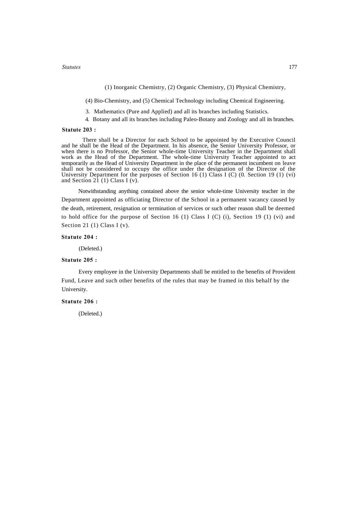(1) Inorganic Chemistry, (2) Organic Chemistry, (3) Physical Chemistry,

(4) Bio-Chemistry, and (5) Chemical Technology including Chemical Engineering.

3. Mathematics (Pure and Applied) and all its branches including Statistics.

4. Botany and all its branches including Paleo-Botany and Zoology and all its branches.

#### **Statute 203 :**

There shall be a Director for each School to be appointed by the Executive Council and he shall be the Head of the Department. In his absence, the Senior University Professor, or when there is no Professor, the Senior whole-time University Teacher in the Department shall work as the Head of the Department. The whole-time University Teacher appointed to act temporarily as the Head of University Department in the place of the permanent incumbent on leave shall not be considered to occupy the office under the designation of the Director of the University Department for the purposes of Section 16 (1) Class I (C) (0. Section 19 (1) (vi) and Section 21 (1) Class I (v).

Notwithstanding anything contained above the senior whole-time University teacher in the Department appointed as officiating Director of the School in a permanent vacancy caused by the death, retirement, resignation or termination of services or such other reason shall be deemed to hold office for the purpose of Section 16 (1) Class I (C) (i), Section 19 (1) (vi) and Section 21 (1) Class I (v).

#### **Statute 204 :**

(Deleted.)

## **Statute 205 :**

Every employee in the University Departments shall be entitled to the benefits of Provident Fund, Leave and such other benefits of the rules that may be framed in this behalf by the University.

#### **Statute 206 :**

(Deleted.)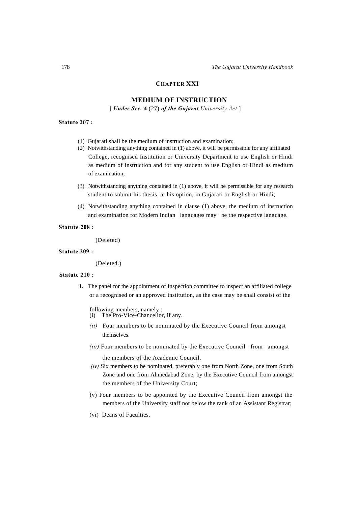## **CHAPTER XXI**

## **MEDIUM OF INSTRUCTION**

**[** *Under Sec.* **4** (27) *of the Gujarat University Act* ]

## **Statute 207 :**

- (1) Gujarati shall be the medium of instruction and examination;
- (2) Notwithstanding anything contained in (1) above, it will be permissible for any affiliated College, recognised Institution or University Department to use English or Hindi as medium of instruction and for any student to use English or Hindi as medium of examination;
- (3) Notwithstanding anything contained in (1) above, it will be permissible for any research student to submit his thesis, at his option, in Gujarati or English or Hindi;
- (4) Notwithstanding anything contained in clause (1) above, the medium of instruction and examination for Modern Indian languages may be the respective language.

#### **Statute 208 :**

(Deleted)

#### **Statute 209 :**

(Deleted.)

#### **Statute 210** :

**1.** The panel for the appointment of Inspection committee to inspect an affiliated college or a recognised or an approved institution, as the case may be shall consist of the

following members, namely : (i) The Pro-Vice-Chancellor, if any.

- *(ii)* Four members to be nominated by the Executive Council from amongst themselves.
- *(iii)* Four members to be nominated by the Executive Council from amongst the members of the Academic Council.
- *(iv)* Six members to be nominated, preferably one from North Zone, one from South Zone and one from Ahmedabad Zone, by the Executive Council from amongst the members of the University Court;
- (v) Four members to be appointed by the Executive Council from amongst the members of the University staff not below the rank of an Assistant Registrar;
- (vi) Deans of Faculties.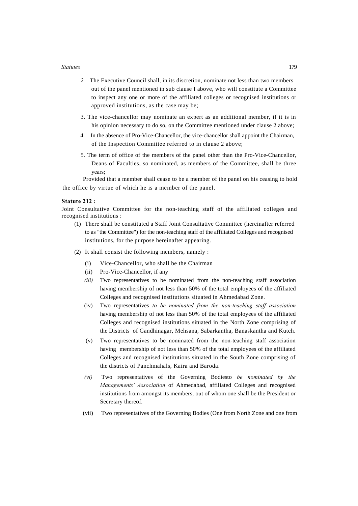- *2.* The Executive Council shall, in its discretion, nominate not less than two members out of the panel mentioned in sub clause I above, who will constitute a Committee to inspect any one or more of the affiliated colleges or recognised institutions or approved institutions, as the case may be;
- 3. The vice-chancellor may nominate an expert as an additional member, if it is in his opinion necessary to do so, on the Committee mentioned under clause 2 above;
- 4. In the absence of Pro-Vice-Chancellor, the vice-chancellor shall appoint the Chairman, of the Inspection Committee referred to in clause 2 above;
- 5. The term of office of the members of the panel other than the Pro-Vice-Chancellor, Deans of Faculties, so nominated, as members of the Committee, shall be three years;

Provided that a member shall cease to be a member of the panel on his ceasing to hold the office by virtue of which he is a member of the panel.

#### **Statute 212 :**

Joint Consultative Committee for the non-teaching staff of the affiliated colleges and recognised institutions :

- (1) There shall be constituted a Staff Joint Consultative Committee (hereinafter referred to as "the Committee") for the non-teaching staff of the affiliated Colleges and recognised institutions, for the purpose hereinafter appearing.
- (2) It shall consist the following members, namely :
	- (i) Vice-Chancellor, who shall be the Chairman
	- (ii) Pro-Vice-Chancellor, if any
	- *(iii)* Two representatives to be nominated from the non-teaching staff association having membership of not less than 50% of the total employees of the affiliated Colleges and recognised institutions situated in Ahmedabad Zone.
	- (iv) Two representatives *to be nominated from the non-teaching staff association*  having membership of not less than 50% of the total employees of the affiliated Colleges and recognised institutions situated in the North Zone comprising of the Districts of Gandhinagar, Mehsana, Sabarkantha, Banaskantha and Kutch.
	- (v) Two representatives to be nominated from the non-teaching staff association having membership of not less than 50% of the total employees of the affiliated Colleges and recognised institutions situated in the South Zone comprising of the districts of Panchmahals, Kaira and Baroda.
	- *(vi)* Two representatives of the Governing Bodiesto *be nominated by the Managements' Association* of Ahmedabad, affiliated Colleges and recognised institutions from amongst its members, out of whom one shall be the President or Secretary thereof.
	- (vii) Two representatives of the Governing Bodies (One from North Zone and one from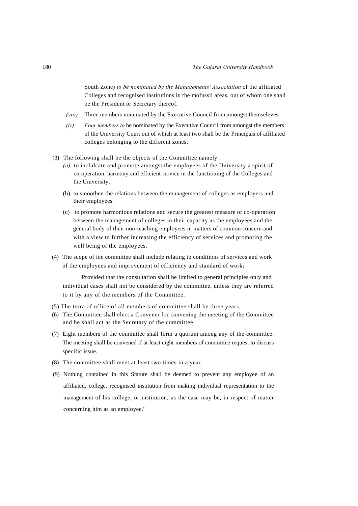South Zone) *to be nominated by the Managements' Association* of the affiliated Colleges and recognised institutions in the mofussil areas, out of whom one shall be the President or Secretary thereof.

- *(viii)* Three members nominated by the Executive Council from amongst themseleves.
- *(ix) Four members to* be nominated by the Executive Council from amongst the members of the University Court out of which at least two shall be the Principals of affiliated colleges belonging to the different zones.
- (3) The following shall be the objects of the Committee namely :
	- *(a)* to inclulcate and promote amongst the employees of the University a spirit of co-operation, harmony and efficient service in the functioning of the Colleges and the University.
	- (b) to smoothen the relations between the management of colleges as employers and their employees.
	- (c) to promote harmonious relations and secure the greatest measure of co-operation between the management of colleges in their capacity as the employees and the general body of their non-teaching employees in matters of common concern and with a view to further increasing the efficiency of services and promoting the well being of the employees.
- (4) The scope of fee committee shall include relating to conditions of services and work of the employees and improvement of efficiency and standard of work;

Provided that the consultation shall be limited to general principles only and individual cases shall not be considered by the committee, unless they are referred to it by any of the members of the Committee.

- (5) The terra of office of all members of committee shall be three years.
- (6) The Committee shall elect a Convener for convening the meeting of the Committee and he shall act as the Secretary of the committee.
- (7) Eight members of the committee shall form a quorum among any of the committee. The meeting shall be convened if at least eight members of committee request to discuss specific issue.
- (8) The committee shall meet at least two times in a year.
- (9) Nothing contained in this Statute shall be deemed to prevent any employee of an affiliated, college, recognised institution from making individual representation to the management of his college, or institution, as the case may be, in respect of matter concerning him as an employee.''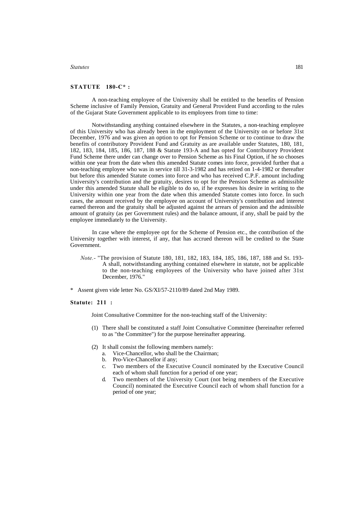#### **STATUTE 180-C\* :**

A non-teaching employee of the University shall be entitled to the benefits of Pension Scheme inclusive of Family Pension, Gratuity and General Provident Fund according to the rules of the Gujarat State Government applicable to its employees from time to time:

Notwithstanding anything contained elsewhere in the Statutes, a non-teaching employee of this University who has already been in the employment of the University on or before 31st December, 1976 and was given an option to opt for Pension Scheme or to continue to draw the benefits of contributory Provident Fund and Gratuity as are available under Statutes, 180, 181, 182, 183, 184, 185, 186, 187, 188 & Statute 193-A and has opted for Contributory Provident Fund Scheme there under can change over to Pension Scheme as his Final Option, if he so chooses within one year from the date when this amended Statute comes into force, provided further that a non-teaching employee who was in service till 31-3-1982 and has retired on 1-4-1982 or thereafter but before this amended Statute comes into force and who has received C.P.F. amount including University's contribution and the gratuity, desires to opt for the Pension Scheme as admissible under this amended Statute shall be eligible to do so, if he expresses his desire in writing to the University within one year from the date when this amended Statute comes into force. In such cases, the amount received by the employee on account of University's contribution and interest earned thereon and the gratuity shall be adjusted against the arrears of pension and the admissible amount of gratuity (as per Government rules) and the balance amount, if any, shall be paid by the employee immediately to the University.

In case where the employee opt for the Scheme of Pension etc., the contribution of the University together with interest, if any, that has accrued thereon will be credited to the State Government.

- *Note.-* "The provision of Statute 180, 181, 182, 183, 184, 185, 186, 187, 188 and St. 193- A shall, notwithstanding anything contained elsewhere in statute, not be applicable to the non-teaching employees of the University who have joined after 31st December, 1976."
- \* Assent given vide letter No. GS/XI/57-2110/89 dated 2nd May 1989.

**Statute: 211 :**

Joint Consultative Committee for the non-teaching staff of the University:

- (1) There shall be constituted a staff Joint Consultative Committee (hereinafter referred to as "the Committee") for the purpose hereinafter appearing.
- (2) It shall consist the following members namely:
	- a. Vice-Chancellor, who shall be the Chairman;
	- b. Pro-Vice-Chancellor if any;
	- c. Two members of the Executive Council nominated by the Executive Council each of whom shall function for a period of one year;
	- d. Two members of the University Court (not being members of the Executive Council) nominated the Executive Council each of whom shall function for a period of one year;